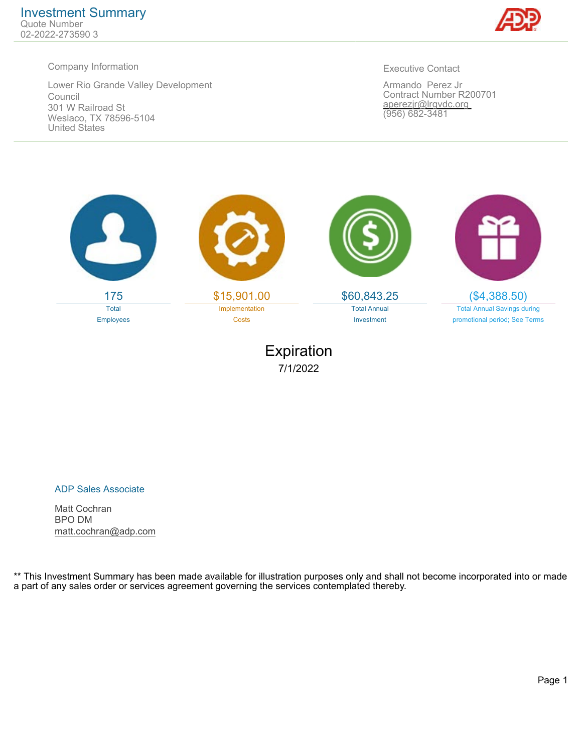

Lower Rio Grande Valley Development Council 301 W Railroad St Weslaco, TX 78596-5104 United States

Executive Contact

Armando Perez Jr Contract Number R200701 aperezjr@lrgvdc.org (956) 682-3481



Expiration 7/1/2022

ADP Sales Associate

Matt Cochran BPO DM matt.cochran@adp.com

\*\* This Investment Summary has been made available for illustration purposes only and shall not become incorporated into or made a part of any sales order or services agreement governing the services contemplated thereby.

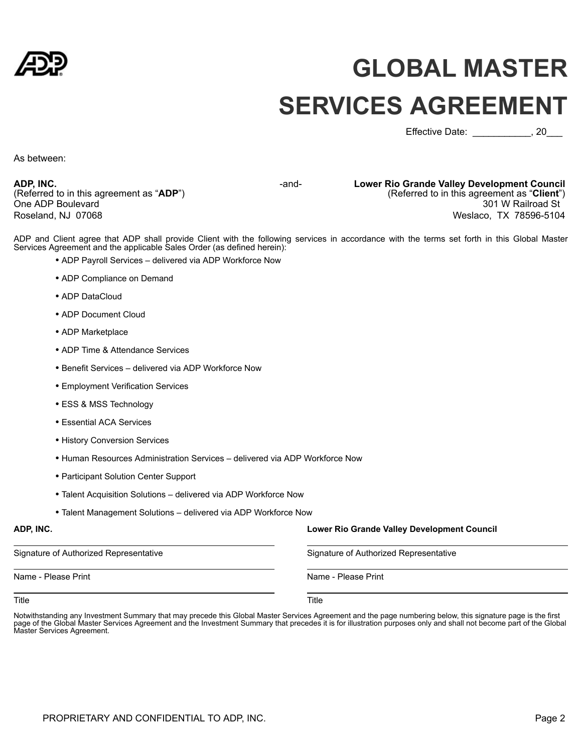

# **GLOBAL MASTER SERVICES AGREEMENT**

Effective Date:  $\qquad \qquad$ , 20

As between:

**ADP, INC.** (Referred to in this agreement as "**ADP**") One ADP Boulevard Roseland, NJ 07068

-and- **Lower Rio Grande Valley Development Council**  (Referred to in this agreement as "**Client**") 301 W Railroad St Weslaco, TX 78596-5104

ADP and Client agree that ADP shall provide Client with the following services in accordance with the terms set forth in this Global Master Services Agreement and the applicable Sales Order (as defined herein):

- ADP Payroll Services delivered via ADP Workforce Now
- ADP Compliance on Demand
- ADP DataCloud
- ADP Document Cloud
- ADP Marketplace
- ADP Time & Attendance Services
- Benefit Services delivered via ADP Workforce Now
- Employment Verification Services
- ESS & MSS Technology
- Essential ACA Services
- History Conversion Services
- Human Resources Administration Services delivered via ADP Workforce Now
- Participant Solution Center Support
- Talent Acquisition Solutions delivered via ADP Workforce Now
- Talent Management Solutions delivered via ADP Workforce Now

Signature of Authorized Representative Signature of Authorized Representative

Name - Please Print Name - Please Print Name - Please Print

**ADP, INC. Lower Rio Grande Valley Development Council** 

Title Title

Notwithstanding any Investment Summary that may precede this Global Master Services Agreement and the page numbering below, this signature page is the first page of the Global Master Services Agreement and the Investment Summary that precedes it is for illustration purposes only and shall not become part of the Global Master Services Agreement.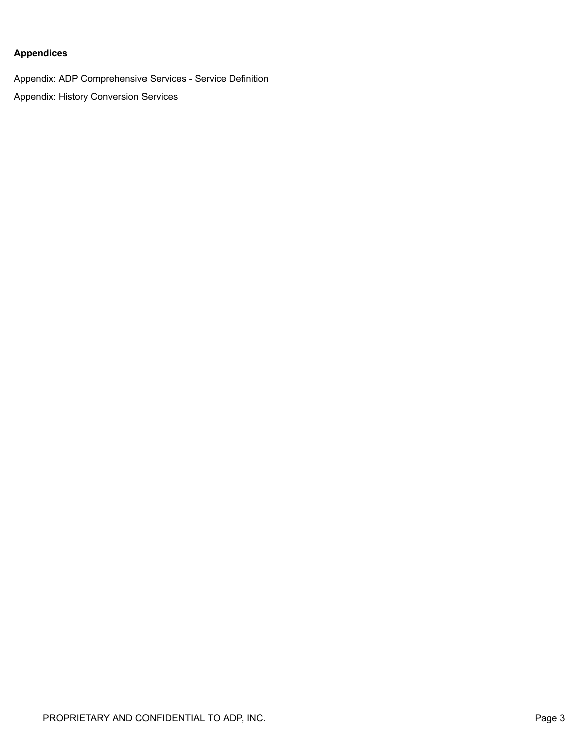#### **Appendices**

Appendix: ADP Comprehensive Services - Service Definition Appendix: History Conversion Services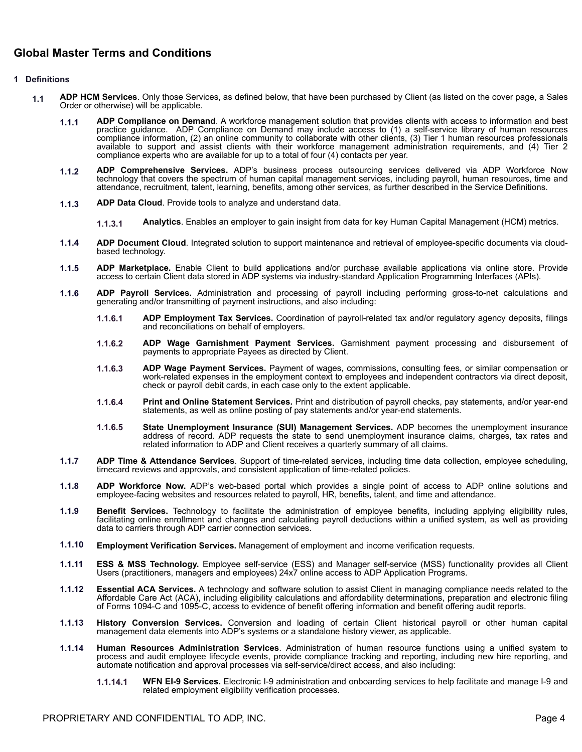#### **Global Master Terms and Conditions**

#### **1 Definitions**

- **1.1 ADP HCM Services**. Only those Services, as defined below, that have been purchased by Client (as listed on the cover page, a Sales Order or otherwise) will be applicable.
	- 1.1.1 **ADP Compliance on Demand**. A workforce management solution that provides clients with access to information and best practice guidance. ADP Compliance on Demand may include access to (1) a self-service library of hu compliance information, (2) an online community to collaborate with other clients, (3) Tier 1 human resources professionals available to support and assist clients with their workforce management administration requirements, and (4) Tier 2 compliance experts who are available for up to a total of four (4) contacts per year.
	- **1.1.2 ADP Comprehensive Services.** ADP's business process outsourcing services delivered via ADP Workforce Now technology that covers the spectrum of human capital management services, including payroll, human resources, time and attendance, recruitment, talent, learning, benefits, among other services, as further described in the Service Definitions.
	- **1.1.3 ADP Data Cloud**. Provide tools to analyze and understand data.
		- **1.1.3.1 Analytics**. Enables an employer to gain insight from data for key Human Capital Management (HCM) metrics.
	- **1.1.4 ADP Document Cloud**. Integrated solution to support maintenance and retrieval of employee-specific documents via cloudbased technology.
	- **1.1.5 ADP Marketplace.** Enable Client to build applications and/or purchase available applications via online store. Provide access to certain Client data stored in ADP systems via industry-standard Application Programming Interfaces (APIs).
	- **1.1.6 ADP Payroll Services.** Administration and processing of payroll including performing gross-to-net calculations and generating and/or transmitting of payment instructions, and also including:
		- **1.1.6.1 ADP Employment Tax Services.** Coordination of payroll-related tax and/or regulatory agency deposits, filings and reconciliations on behalf of employers.
		- **1.1.6.2 ADP Wage Garnishment Payment Services.** Garnishment payment processing and disbursement of payments to appropriate Payees as directed by Client.
		- **1.1.6.3 ADP Wage Payment Services.** Payment of wages, commissions, consulting fees, or similar compensation or work-related expenses in the employment context to employees and independent contractors via direct deposit, check or payroll debit cards, in each case only to the extent applicable.
		- **1.1.6.4 Print and Online Statement Services.** Print and distribution of payroll checks, pay statements, and/or year-end statements, as well as online posting of pay statements and/or year-end statements.
		- **1.1.6.5 State Unemployment Insurance (SUI) Management Services.** ADP becomes the unemployment insurance address of record. ADP requests the state to send unemployment insurance claims, charges, tax rates and related information to ADP and Client receives a quarterly summary of all claims.
	- **1.1.7 ADP Time & Attendance Services**. Support of time-related services, including time data collection, employee scheduling, timecard reviews and approvals, and consistent application of time-related policies.
	- **1.1.8 ADP Workforce Now.** ADP's web-based portal which provides a single point of access to ADP online solutions and employee-facing websites and resources related to payroll, HR, benefits, talent, and time and attendance.
	- **1.1.9 Benefit Services.** Technology to facilitate the administration of employee benefits, including applying eligibility rules, facilitating online enrollment and changes and calculating payroll deductions within a unified system, as well as providing data to carriers through ADP carrier connection services.
	- **1.1.10 Employment Verification Services.** Management of employment and income verification requests.
	- **1.1.11 ESS & MSS Technology.** Employee self-service (ESS) and Manager self-service (MSS) functionality provides all Client Users (practitioners, managers and employees) 24x7 online access to ADP Application Programs.
	- **1.1.12 Essential ACA Services.** A technology and software solution to assist Client in managing compliance needs related to the Affordable Care Act (ACA), including eligibility calculations and affordability determinations, preparation and electronic filing of Forms 1094-C and 1095-C, access to evidence of benefit offering information and benefit offering audit reports.
	- **1.1.13 History Conversion Services.** Conversion and loading of certain Client historical payroll or other human capital management data elements into ADP's systems or a standalone history viewer, as applicable.
	- **1.1.14 Human Resources Administration Services**. Administration of human resource functions using a unified system to process and audit employee lifecycle events, provide compliance tracking and reporting, including new hire reporting, and automate notification and approval processes via self-service/direct access, and also including:
		- **1.1.14.1 WFN EI-9 Services.** Electronic I-9 administration and onboarding services to help facilitate and manage I-9 and related employment eligibility verification processes.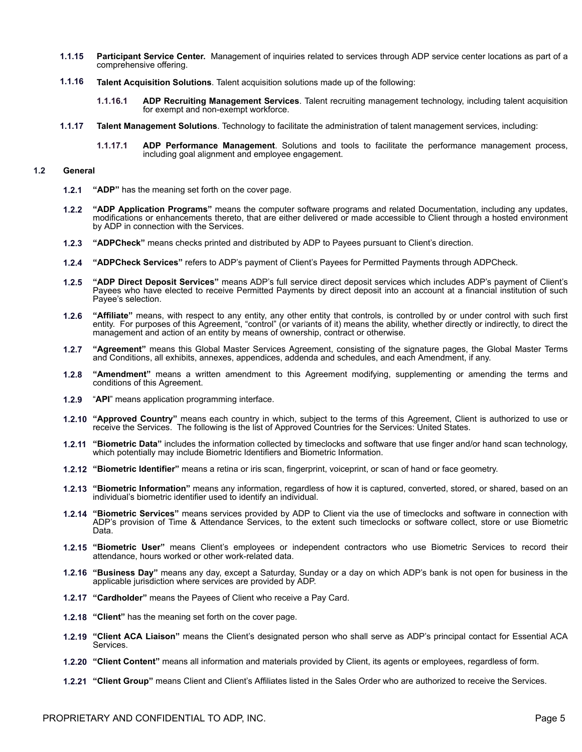- **1.1.15 Participant Service Center.** Management of inquiries related to services through ADP service center locations as part of a comprehensive offering.
- **1.1.16 Talent Acquisition Solutions**. Talent acquisition solutions made up of the following:
	- **1.1.16.1 ADP Recruiting Management Services**. Talent recruiting management technology, including talent acquisition for exempt and non-exempt workforce.
- **1.1.17 Talent Management Solutions**. Technology to facilitate the administration of talent management services, including:
	- **1.1.17.1 ADP Performance Management**. Solutions and tools to facilitate the performance management process, including goal alignment and employee engagement.

#### **1.2 General**

- **1.2.1 "ADP"** has the meaning set forth on the cover page.
- **1.2.2 "ADP Application Programs"** means the computer software programs and related Documentation, including any updates, modifications or enhancements thereto, that are either delivered or made accessible to Client through a hosted environment by ADP in connection with the Services.
- **1.2.3 "ADPCheck"** means checks printed and distributed by ADP to Payees pursuant to Client's direction.
- **1.2.4 "ADPCheck Services"** refers to ADP's payment of Client's Payees for Permitted Payments through ADPCheck.
- **1.2.5 "ADP Direct Deposit Services"** means ADP's full service direct deposit services which includes ADP's payment of Client's Payees who have elected to receive Permitted Payments by direct deposit into an account at a financial institution of such Payee's selection.
- **1.2.6 "Affiliate"** means, with respect to any entity, any other entity that controls, is controlled by or under control with such first entity. For purposes of this Agreement, "control" (or variants of it) means the ability, whether directly or indirectly, to direct the management and action of an entity by means of ownership, contract or otherwise.
- **1.2.7 "Agreement"** means this Global Master Services Agreement, consisting of the signature pages, the Global Master Terms and Conditions, all exhibits, annexes, appendices, addenda and schedules, and each Amendment, if any.
- **1.2.8 "Amendment"** means a written amendment to this Agreement modifying, supplementing or amending the terms and conditions of this Agreement.
- **1.2.9** "**API**" means application programming interface.
- **1.2.10 "Approved Country"** means each country in which, subject to the terms of this Agreement, Client is authorized to use or receive the Services. The following is the list of Approved Countries for the Services: United States.
- **1.2.11 "Biometric Data"** includes the information collected by timeclocks and software that use finger and/or hand scan technology, which potentially may include Biometric Identifiers and Biometric Information.
- **1.2.12 "Biometric Identifier"** means a retina or iris scan, fingerprint, voiceprint, or scan of hand or face geometry.
- **1.2.13 "Biometric Information"** means any information, regardless of how it is captured, converted, stored, or shared, based on an individual's biometric identifier used to identify an individual.
- **1.2.14 "Biometric Services"** means services provided by ADP to Client via the use of timeclocks and software in connection with ADP's provision of Time & Attendance Services, to the extent such timeclocks or software collect, store or use Biometric Data.
- **1.2.15 "Biometric User"** means Client's employees or independent contractors who use Biometric Services to record their attendance, hours worked or other work-related data.
- **1.2.16 "Business Day"** means any day, except a Saturday, Sunday or a day on which ADP's bank is not open for business in the applicable jurisdiction where services are provided by ADP.
- **1.2.17 "Cardholder"** means the Payees of Client who receive a Pay Card.
- **1.2.18 "Client"** has the meaning set forth on the cover page.
- **1.2.19 "Client ACA Liaison"** means the Client's designated person who shall serve as ADP's principal contact for Essential ACA Services.
- **1.2.20 "Client Content"** means all information and materials provided by Client, its agents or employees, regardless of form.
- **1.2.21 "Client Group"** means Client and Client's Affiliates listed in the Sales Order who are authorized to receive the Services.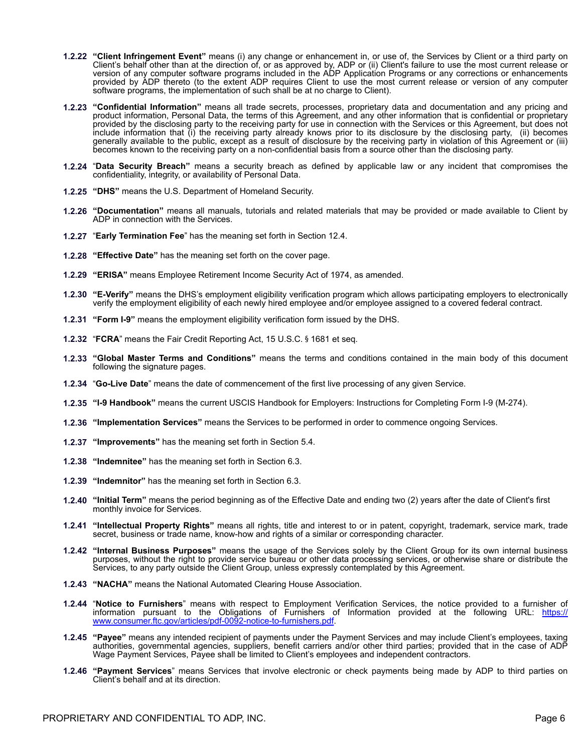- **1.2.22 "Client Infringement Event"** means (i) any change or enhancement in, or use of, the Services by Client or a third party on Client's behalf other than at the direction of, or as approved by, ADP or (ii) Client's failure to use the most current release or version of any computer software programs included in the ADP Application Programs or any corrections or enhancements provided by ADP thereto (to the extent ADP requires Client to use the most current release or version of any computer software programs, the implementation of such shall be at no charge to Client).
- **1.2.23 "Confidential Information"** means all trade secrets, processes, proprietary data and documentation and any pricing and product information, Personal Data, the terms of this Agreement, and any other information that is confidential or proprietary provided by the disclosing party to the receiving party for use in connection with the Services or this Agreement, but does not include information that (i) the receiving party already knows prior to its disclosure by the disclosing party, (ii) becomes generally available to the public, except as a result of disclosure by the receiving party in violation of this Agreement or (iii) becomes known to the receiving party on a non-confidential basis from a source other than the disclosing party.
- **1.2.24** "**Data Security Breach"** means a security breach as defined by applicable law or any incident that compromises the confidentiality, integrity, or availability of Personal Data.
- **1.2.25 "DHS"** means the U.S. Department of Homeland Security.
- **1.2.26 "Documentation"** means all manuals, tutorials and related materials that may be provided or made available to Client by ADP in connection with the Services.
- **1.2.27** "**Early Termination Fee**" has the meaning set forth in Section 12.4.
- **1.2.28 "Effective Date"** has the meaning set forth on the cover page.
- **1.2.29 "ERISA"** means Employee Retirement Income Security Act of 1974, as amended.
- **1.2.30 "E-Verify"** means the DHS's employment eligibility verification program which allows participating employers to electronically verify the employment eligibility of each newly hired employee and/or employee assigned to a covered federal contract.
- **1.2.31 "Form I-9"** means the employment eligibility verification form issued by the DHS.
- **1.2.32** "FCRA" means the Fair Credit Reporting Act, 15 U.S.C. § 1681 et seq.
- **1.2.33 "Global Master Terms and Conditions"** means the terms and conditions contained in the main body of this document following the signature pages.
- **1.2.34** "**Go-Live Date**" means the date of commencement of the first live processing of any given Service.
- **1.2.35 "I-9 Handbook"** means the current USCIS Handbook for Employers: Instructions for Completing Form I-9 (M-274).
- **1.2.36 "Implementation Services"** means the Services to be performed in order to commence ongoing Services.
- **1.2.37 "Improvements"** has the meaning set forth in Section 5.4.
- **1.2.38 "Indemnitee"** has the meaning set forth in Section 6.3.
- **1.2.39 "Indemnitor"** has the meaning set forth in Section 6.3.
- **1.2.40 "Initial Term"** means the period beginning as of the Effective Date and ending two (2) years after the date of Client's first monthly invoice for Services.
- **1.2.41 "Intellectual Property Rights"** means all rights, title and interest to or in patent, copyright, trademark, service mark, trade secret, business or trade name, know-how and rights of a similar or corresponding character.
- **1.2.42 "Internal Business Purposes"** means the usage of the Services solely by the Client Group for its own internal business purposes, without the right to provide service bureau or other data processing services, or otherwise share or distribute the Services, to any party outside the Client Group, unless expressly contemplated by this Agreement.
- **1.2.43 "NACHA"** means the National Automated Clearing House Association.
- **1.2.44** "**Notice to Furnishers**" means with respect to Employment Verification Services, the notice provided to a furnisher of information pursuant to the Obligations of Furnishers of Information provided at the following URL: [https://](https://www.consumer.ftc.gov/articles/pdf-0092-notice-to-furnishers.pdf) [www.consumer.ftc.gov/articles/pdf-0092-notice-to-furnishers.pdf](https://www.consumer.ftc.gov/articles/pdf-0092-notice-to-furnishers.pdf).
- **1.2.45 "Payee"** means any intended recipient of payments under the Payment Services and may include Client's employees, taxing authorities, governmental agencies, suppliers, benefit carriers and/or other third parties; provided that in the case of ADP Wage Payment Services, Payee shall be limited to Client's employees and independent contractors.
- **1.2.46 "Payment Services**" means Services that involve electronic or check payments being made by ADP to third parties on Client's behalf and at its direction.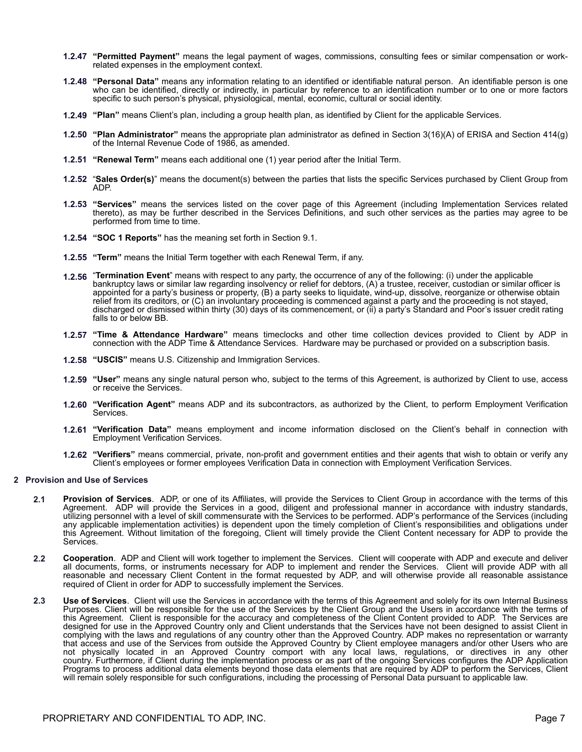- **1.2.47 "Permitted Payment"** means the legal payment of wages, commissions, consulting fees or similar compensation or workrelated expenses in the employment context.
- **1.2.48 "Personal Data"** means any information relating to an identified or identifiable natural person. An identifiable person is one who can be identified, directly or indirectly, in particular by reference to an identification number or to one or more factors specific to such person's physical, physiological, mental, economic, cultural or social identity.
- **1.2.49 "Plan"** means Client's plan, including a group health plan, as identified by Client for the applicable Services.
- **1.2.50 "Plan Administrator"** means the appropriate plan administrator as defined in Section 3(16)(A) of ERISA and Section 414(g) of the Internal Revenue Code of 1986, as amended.
- **1.2.51 "Renewal Term"** means each additional one (1) year period after the Initial Term.
- **1.2.52** "**Sales Order(s)**" means the document(s) between the parties that lists the specific Services purchased by Client Group from ADP.
- **1.2.53 "Services"** means the services listed on the cover page of this Agreement (including Implementation Services related thereto), as may be further described in the Services Definitions, and such other services as the parties may agree to be performed from time to time.
- **1.2.54 "SOC 1 Reports"** has the meaning set forth in Section 9.1.
- **1.2.55 "Term"** means the Initial Term together with each Renewal Term, if any.
- **1.2.56** "**Termination Event**" means with respect to any party, the occurrence of any of the following: (i) under the applicable bankruptcy laws or similar law regarding insolvency or relief for debtors, (A) a trustee, receiver, custodian or similar officer is appointed for a party's business or property, (B) a party seeks to liquidate, wind-up, dissolve, reorganize or otherwise obtain relief from its creditors, or (C) an involuntary proceeding is commenced against a party and the proceeding is not stayed, discharged or dismissed within thirty (30) days of its commencement, or (ii) a party's Standard and Poor's issuer credit rating falls to or below BB.
- **1.2.57 "Time & Attendance Hardware"** means timeclocks and other time collection devices provided to Client by ADP in connection with the ADP Time & Attendance Services. Hardware may be purchased or provided on a subscription basis.
- **1.2.58 "USCIS"** means U.S. Citizenship and Immigration Services.
- **1.2.59 "User"** means any single natural person who, subject to the terms of this Agreement, is authorized by Client to use, access or receive the Services.
- **1.2.60 "Verification Agent"** means ADP and its subcontractors, as authorized by the Client, to perform Employment Verification Services.
- **1.2.61 "Verification Data"** means employment and income information disclosed on the Client's behalf in connection with Employment Verification Services.
- **1.2.62 "Verifiers"** means commercial, private, non-profit and government entities and their agents that wish to obtain or verify any Client's employees or former employees Verification Data in connection with Employment Verification Services.

#### **2 Provision and Use of Services**

- **2.1 Provision of Services**. ADP, or one of its Affiliates, will provide the Services to Client Group in accordance with the terms of this Agreement. ADP will provide the Services in a good, diligent and professional manner in accordance with industry standards, utilizing personnel with a level of skill commensurate with the Services to be performed. ADP's performance of the Services (including any applicable implementation activities) is dependent upon the timely completion of Client's responsibilities and obligations under this Agreement. Without limitation of the foregoing, Client will timely provide the Client Content necessary for ADP to provide the Services.
- **2.2 Cooperation**. ADP and Client will work together to implement the Services. Client will cooperate with ADP and execute and deliver all documents, forms, or instruments necessary for ADP to implement and render the Services. Client will provide ADP with all reasonable and necessary Client Content in the format requested by ADP, and will otherwise provide all reasonable assistance required of Client in order for ADP to successfully implement the Services.
- **2.3 Use of Services**. Client will use the Services in accordance with the terms of this Agreement and solely for its own Internal Business Purposes. Client will be responsible for the use of the Services by the Client Group and the Users in accordance with the terms of this Agreement. Client is responsible for the accuracy and completeness of the Client Content provided to ADP. The Services are designed for use in the Approved Country only and Client understands that the Services have not been designed to assist Client in complying with the laws and regulations of any country other than the Approved Country. ADP makes no representation or warranty that access and use of the Services from outside the Approved Country by Client employee managers and/or other Users who are not physically located in an Approved Country comport with any local laws, regulations, or directives in any other country. Furthermore, if Client during the implementation process or as part of the ongoing Services configures the ADP Application Programs to process additional data elements beyond those data elements that are required by ADP to perform the Services, Client will remain solely responsible for such configurations, including the processing of Personal Data pursuant to applicable law.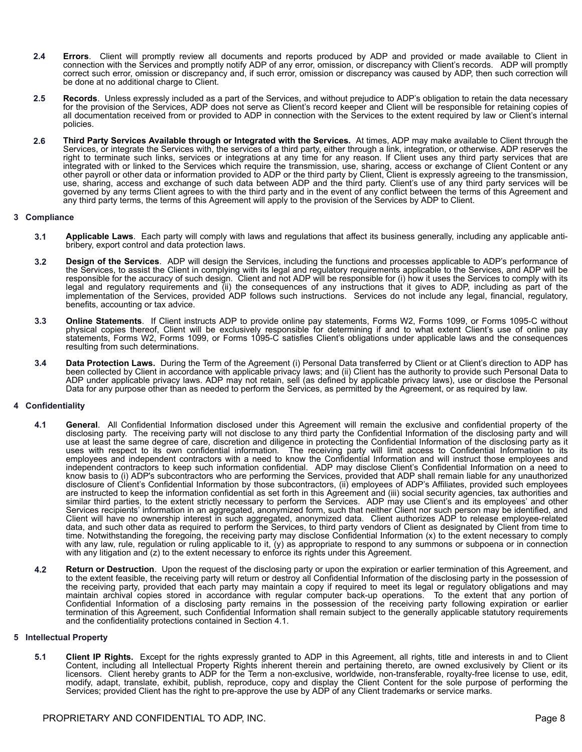- **2.4 Errors**.Client will promptly review all documents and reports produced by ADP and provided or made available to Client in connection with the Services and promptly notify ADP of any error, omission, or discrepancy with Client's records. ADP will promptly correct such error, omission or discrepancy and, if such error, omission or discrepancy was caused by ADP, then such correction will be done at no additional charge to Client.
- **2.5 Records**.Unless expressly included as a part of the Services, and without prejudice to ADP's obligation to retain the data necessary for the provision of the Services, ADP does not serve as Client's record keeper and Client will be responsible for retaining copies of all documentation received from or provided to ADP in connection with the Services to the extent required by law or Client's internal policies.
- **2.6 Third Party Services Available through or Integrated with the Services.** At times, ADP may make available to Client through the Services, or integrate the Services with, the services of a third party, either through a link, integration, or otherwise. ADP reserves the right to terminate such links, services or integrations at any time for any reason. If Client uses any third party services that are integrated with or linked to the Services which require the transmission, use, sharing, access or exchange of Client Content or any other payroll or other data or information provided to ADP or the third party by Client, Client is expressly agreeing to the transmission, use, sharing, access and exchange of such data between ADP and the third party. Client's use of any third party services will be governed by any terms Client agrees to with the third party and in the event of any conflict between the terms of this Agreement and any third party terms, the terms of this Agreement will apply to the provision of the Services by ADP to Client.

#### **3 Compliance**

- **3.1 Applicable Laws**.Each party will comply with laws and regulations that affect its business generally, including any applicable antibribery, export control and data protection laws.
- **3.2 Design of the Services**. ADP will design the Services, including the functions and processes applicable to ADP's performance of the Services, to assist the Client in complying with its legal and regulatory requirements applicable to the Services, and ADP will be responsible for the accuracy of such design. Client and not ADP will be responsible for (i) how it uses the Services to comply with its legal and regulatory requirements and (ii) the consequences of any instructions that it gives to ADP, including as part of the implementation of the Services, provided ADP follows such instructions. Services do not include any legal, financial, regulatory, benefits, accounting or tax advice.
- **3.3 Online Statements**.If Client instructs ADP to provide online pay statements, Forms W2, Forms 1099, or Forms 1095-C without physical copies thereof, Client will be exclusively responsible for determining if and to what extent Client's use of online pay statements, Forms W2, Forms 1099, or Forms 1095-C satisfies Client's obligations under applicable laws and the consequences resulting from such determinations.
- **3.4 Data Protection Laws.** During the Term of the Agreement (i) Personal Data transferred by Client or at Client's direction to ADP has been collected by Client in accordance with applicable privacy laws; and (ii) Client has the authority to provide such Personal Data to ADP under applicable privacy laws. ADP may not retain, sell (as defined by applicable privacy laws), use or disclose the Personal Data for any purpose other than as needed to perform the Services, as permitted by the Agreement, or as required by law.

#### **4 Confidentiality**

- **4.1 General**. All Confidential Information disclosed under this Agreement will remain the exclusive and confidential property of the disclosing party. The receiving party will not disclose to any third party the Confidential Information of the disclosing party and will use at least the same degree of care, discretion and diligence in protecting the Confidential Information of the disclosing party as it uses with respect to its own confidential information. The receiving party will limit access to Confidential Information to its employees and independent contractors with a need to know the Confidential Information and will instruct those employees and independent contractors to keep such information confidential. ADP may disclose Client's Confidential Information on a need to know basis to (i) ADP's subcontractors who are performing the Services, provided that ADP shall remain liable for any unauthorized disclosure of Client's Confidential Information by those subcontractors, (ii) employees of ADP's Affiliates, provided such employees are instructed to keep the information confidential as set forth in this Agreement and (iii) social security agencies, tax authorities and similar third parties, to the extent strictly necessary to perform the Services. ADP may use Client's and its employees' and other Services recipients' information in an aggregated, anonymized form, such that neither Client nor such person may be identified, and Client will have no ownership interest in such aggregated, anonymized data. Client authorizes ADP to release employee-related data, and such other data as required to perform the Services, to third party vendors of Client as designated by Client from time to time. Notwithstanding the foregoing, the receiving party may disclose Confidential Information (x) to the extent necessary to comply with any law, rule, regulation or ruling applicable to it, (y) as appropriate to respond to any summons or subpoena or in connection with any litigation and (z) to the extent necessary to enforce its rights under this Agreement.
- **4.2 Return or Destruction**. Upon the request of the disclosing party or upon the expiration or earlier termination of this Agreement, and to the extent feasible, the receiving party will return or destroy all Confidential Information of the disclosing party in the possession of the receiving party, provided that each party may maintain a copy if required to meet its legal or regulatory obligations and may maintain archival copies stored in accordance with regular computer back-up operations. To the extent that any portion of Confidential Information of a disclosing party remains in the possession of the receiving party following expiration or earlier termination of this Agreement, such Confidential Information shall remain subject to the generally applicable statutory requirements and the confidentiality protections contained in Section 4.1.

#### **5 Intellectual Property**

**5.1 Client IP Rights.** Except for the rights expressly granted to ADP in this Agreement, all rights, title and interests in and to Client Content, including all Intellectual Property Rights inherent therein and pertaining thereto, are owned exclusively by Client or its licensors. Client hereby grants to ADP for the Term a non-exclusive, worldwide, non-transferable, royalty-free license to use, edit, modify, adapt, translate, exhibit, publish, reproduce, copy and display the Client Content for the sole purpose of performing the Services; provided Client has the right to pre-approve the use by ADP of any Client trademarks or service marks.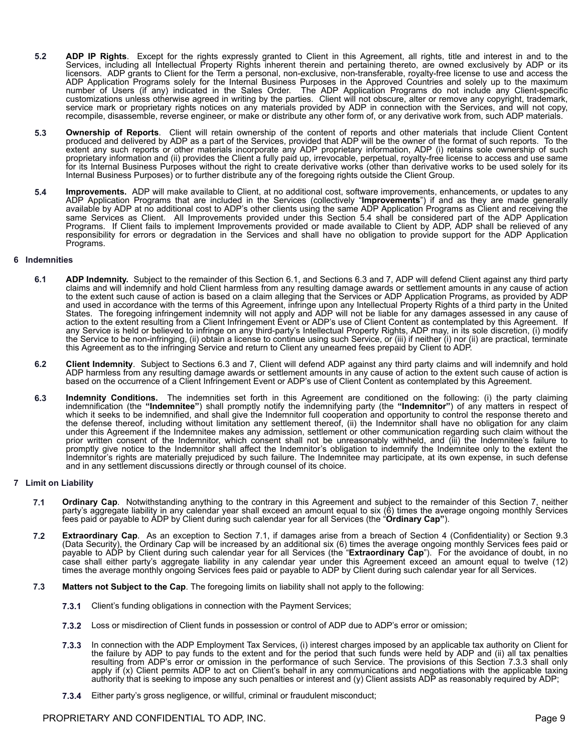- **5.2 ADP IP Rights**. Except for the rights expressly granted to Client in this Agreement, all rights, title and interest in and to the Services, including all Intellectual Property Rights inherent therein and pertaining thereto, are owned exclusively by ADP or its licensors. ADP grants to Client for the Term a personal, non-exclusive, non-transferable, royalty-free license to use and access the ADP Application Programs solely for the Internal Business Purposes in the Approved Countries and solely up to the maximum number of Users (if any) indicated in the Sales Order. The ADP Application Programs do not include any Client-specific customizations unless otherwise agreed in writing by the parties. Client will not obscure, alter or remove any copyright, trademark, service mark or proprietary rights notices on any materials provided by ADP in connection with the Services, and will not copy, recompile, disassemble, reverse engineer, or make or distribute any other form of, or any derivative work from, such ADP materials.
- **5.3 Ownership of Reports**. Client will retain ownership of the content of reports and other materials that include Client Content produced and delivered by ADP as a part of the Services, provided that ADP will be the owner of the format of such reports. To the extent any such reports or other materials incorporate any ADP proprietary information, ADP (i) retains sole ownership of such proprietary information and (ii) provides the Client a fully paid up, irrevocable, perpetual, royalty-free license to access and use same for its Internal Business Purposes without the right to create derivative works (other than derivative works to be used solely for its Internal Business Purposes) or to further distribute any of the foregoing rights outside the Client Group.
- **5.4 Improvements.** ADP will make available to Client, at no additional cost, software improvements, enhancements, or updates to any ADP Application Programs that are included in the Services (collectively "**Improvements**") if and as they are made generally available by ADP at no additional cost to ADP's other clients using the same ADP Application Programs as Client and receiving the same Services as Client. All Improvements provided under this Section 5.4 shall be considered part of the ADP Application Programs. If Client fails to implement Improvements provided or made available to Client by ADP, ADP shall be relieved of any responsibility for errors or degradation in the Services and shall have no obligation to provide support for the ADP Application Programs.

#### **6 Indemnities**

- **6.1 ADP Indemnity.** Subject to the remainder of this Section 6.1, and Sections 6.3 and 7, ADP will defend Client against any third party claims and will indemnify and hold Client harmless from any resulting damage awards or settlement amounts in any cause of action to the extent such cause of action is based on a claim alleging that the Services or ADP Application Programs, as provided by ADP and used in accordance with the terms of this Agreement, infringe upon any Intellectual Property Rights of a third party in the United States. The foregoing infringement indemnity will not apply and ADP will not be liable for any damages assessed in any cause of action to the extent resulting from a Client Infringement Event or ADP's use of Client Content as contemplated by this Agreement. If any Service is held or believed to infringe on any third-party's Intellectual Property Rights, ADP may, in its sole discretion, (i) modify the Service to be non-infringing, (ii) obtain a license to continue using such Service, or (iii) if neither (i) nor (ii) are practical, terminate this Agreement as to the infringing Service and return to Client any unearned fees prepaid by Client to ADP.
- **6.2 Client Indemnity**. Subject to Sections 6.3 and 7, Client will defend ADP against any third party claims and will indemnify and hold ADP harmless from any resulting damage awards or settlement amounts in any cause of action to the extent such cause of action is based on the occurrence of a Client Infringement Event or ADP's use of Client Content as contemplated by this Agreement.
- **6.3 Indemnity Conditions.** The indemnities set forth in this Agreement are conditioned on the following: (i) the party claiming indemnification (the **"Indemnitee"**) shall promptly notify the indemnifying party (the **"Indemnitor"**) of any matters in respect of which it seeks to be indemnified, and shall give the Indemnitor full cooperation and opportunity to control the response thereto and the defense thereof, including without limitation any settlement thereof, (ii) the Indemnitor shall have no obligation for any claim under this Agreement if the Indemnitee makes any admission, settlement or other communication regarding such claim without the prior written consent of the Indemnitor, which consent shall not be unreasonably withheld, and (iii) the Indemnitee's failure to promptly give notice to the Indemnitor shall affect the Indemnitor's obligation to indemnify the Indemnitee only to the extent the Indemnitor's rights are materially prejudiced by such failure. The Indemnitee may participate, at its own expense, in such defense and in any settlement discussions directly or through counsel of its choice.

#### **7 Limit on Liability**

- **7.1 Ordinary Cap**. Notwithstanding anything to the contrary in this Agreement and subject to the remainder of this Section 7, neither party's aggregate liability in any calendar year shall exceed an amount equal to six (6) times the average ongoing monthly Services fees paid or payable to ADP by Client during such calendar year for all Services (the "**Ordinary Cap"**).
- **7.2 Extraordinary Cap**. As an exception to Section 7.1, if damages arise from a breach of Section 4 (Confidentiality) or Section 9.3 (Data Security), the Ordinary Cap will be increased by an additional six (6) times the average ongoing monthly Services fees paid or payable to ADP by Client during such calendar year for all Services (the "**Extraordinary Cap**"). For the avoidance of doubt, in no case shall either party's aggregate liability in any calendar year under this Agreement exceed an amount equal to twelve (12) times the average monthly ongoing Services fees paid or payable to ADP by Client during such calendar year for all Services.
- **7.3 Matters not Subject to the Cap**. The foregoing limits on liability shall not apply to the following:
	- **7.3.1** Client's funding obligations in connection with the Payment Services;
	- **7.3.2** Loss or misdirection of Client funds in possession or control of ADP due to ADP's error or omission;
	- **7.3.3** In connection with the ADP Employment Tax Services, (i) interest charges imposed by an applicable tax authority on Client for the failure by ADP to pay funds to the extent and for the period that such funds were held by ADP and (ii) all tax penalties resulting from ADP's error or omission in the performance of such Service. The provisions of this Section 7.3.3 shall only apply if (x) Client permits ADP to act on Client's behalf in any communications and negotiations with the applicable taxing authority that is seeking to impose any such penalties or interest and (y) Client assists ADP as reasonably required by ADP;
	- **7.3.4** Either party's gross negligence, or willful, criminal or fraudulent misconduct;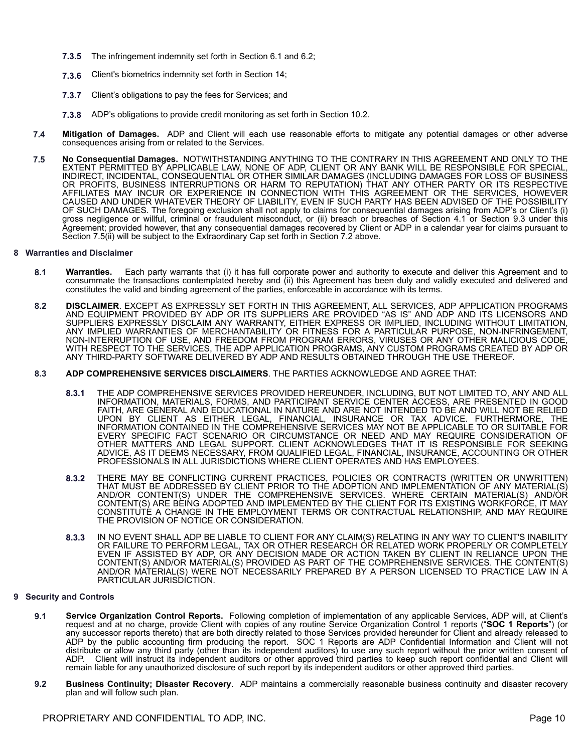- **7.3.5** The infringement indemnity set forth in Section 6.1 and 6.2;
- **7.3.6** Client's biometrics indemnity set forth in Section 14;
- **7.3.7** Client's obligations to pay the fees for Services; and
- **7.3.8** ADP's obligations to provide credit monitoring as set forth in Section 10.2.
- **7.4 Mitigation of Damages.** ADP and Client will each use reasonable efforts to mitigate any potential damages or other adverse consequences arising from or related to the Services.
- **7.5 No Consequential Damages.** NOTWITHSTANDING ANYTHING TO THE CONTRARY IN THIS AGREEMENT AND ONLY TO THE EXTENT PERMITTED BY APPLICABLE LAW, NONE OF ADP, CLIENT OR ANY BANK WILL BE RESPONSIBLE FOR SPECIAL, INDIRECT, INCIDENTAL, CONSEQUENTIAL OR OTHER SIMILAR DAMAGES (INCLUDING DAMAGES FOR LOSS OF BUSINESS OR PROFITS, BUSINESS INTERRUPTIONS OR HARM TO REPUTATION) THAT ANY OTHER PARTY OR ITS RESPECTIVE AFFILIATES MAY INCUR OR EXPERIENCE IN CONNECTION WITH THIS AGREEMENT OR THE SERVICES, HOWEVER CAUSED AND UNDER WHATEVER THEORY OF LIABILITY, EVEN IF SUCH PARTY HAS BEEN ADVISED OF THE POSSIBILITY OF SUCH DAMAGES. The foregoing exclusion shall not apply to claims for consequential damages arising from ADP's or Client's (i) gross negligence or willful, criminal or fraudulent misconduct, or (ii) breach or breaches of Section 4.1 or Section 9.3 under this Agreement; provided however, that any consequential damages recovered by Client or ADP in a calendar year for claims pursuant to Section 7.5(ii) will be subject to the Extraordinary Cap set forth in Section 7.2 above.

#### **8 Warranties and Disclaimer**

- **8.1 Warranties.** Each party warrants that (i) it has full corporate power and authority to execute and deliver this Agreement and to consummate the transactions contemplated hereby and (ii) this Agreement has been duly and validly executed and delivered and constitutes the valid and binding agreement of the parties, enforceable in accordance with its terms.
- **8.2 DISCLAIMER**. EXCEPT AS EXPRESSLY SET FORTH IN THIS AGREEMENT, ALL SERVICES, ADP APPLICATION PROGRAMS AND EQUIPMENT PROVIDED BY ADP OR ITS SUPPLIERS ARE PROVIDED "AS IS" AND ADP AND ITS LICENSORS AND SUPPLIERS EXPRESSLY DISCLAIM ANY WARRANTY, EITHER EXPRESS OR IMPLIED, INCLUDING WITHOUT LIMITATION, ANY IMPLIED WARRANTIES OF MERCHANTABILITY OR FITNESS FOR A PARTICULAR PURPOSE, NON-INFRINGEMENT, NON-INTERRUPTION OF USE, AND FREEDOM FROM PROGRAM ERRORS, VIRUSES OR ANY OTHER MALICIOUS CODE, WITH RESPECT TO THE SERVICES, THE ADP APPLICATION PROGRAMS, ANY CUSTOM PROGRAMS CREATED BY ADP OR ANY THIRD-PARTY SOFTWARE DELIVERED BY ADP AND RESULTS OBTAINED THROUGH THE USE THEREOF.
- **8.3 ADP COMPREHENSIVE SERVICES DISCLAIMERS**. THE PARTIES ACKNOWLEDGE AND AGREE THAT:
	- **8.3.1** THE ADP COMPREHENSIVE SERVICES PROVIDED HEREUNDER, INCLUDING, BUT NOT LIMITED TO, ANY AND ALL INFORMATION, MATERIALS, FORMS, AND PARTICIPANT SERVICE CENTER ACCESS, ARE PRESENTED IN GOOD FAITH, ARE GENERAL AND EDUCATIONAL IN NATURE AND ARE NOT INTENDED TO BE AND WILL NOT BE RELIED UPON BY CLIENT AS EITHER LEGAL, FINANCIAL, INSURANCE OR TAX ADVICE. FURTHERMORE, THE INFORMATION CONTAINED IN THE COMPREHENSIVE SERVICES MAY NOT BE APPLICABLE TO OR SUITABLE FOR EVERY SPECIFIC FACT SCENARIO OR CIRCUMSTANCE OR NEED AND MAY REQUIRE CONSIDERATION OF OTHER MATTERS AND LEGAL SUPPORT. CLIENT ACKNOWLEDGES THAT IT IS RESPONSIBLE FOR SEEKING ADVICE, AS IT DEEMS NECESSARY, FROM QUALIFIED LEGAL, FINANCIAL, INSURANCE, ACCOUNTING OR OTHER PROFESSIONALS IN ALL JURISDICTIONS WHERE CLIENT OPERATES AND HAS EMPLOYEES.
	- **8.3.2** THERE MAY BE CONFLICTING CURRENT PRACTICES, POLICIES OR CONTRACTS (WRITTEN OR UNWRITTEN) THAT MUST BE ADDRESSED BY CLIENT PRIOR TO THE ADOPTION AND IMPLEMENTATION OF ANY MATERIAL(S) AND/OR CONTENT(S) UNDER THE COMPREHENSIVE SERVICES. WHERE CERTAIN MATERIAL(S) AND/OR CONTENT(S) ARE BEING ADOPTED AND IMPLEMENTED BY THE CLIENT FOR ITS EXISTING WORKFORCE, IT MAY CONSTITUTE A CHANGE IN THE EMPLOYMENT TERMS OR CONTRACTUAL RELATIONSHIP, AND MAY REQUIRE THE PROVISION OF NOTICE OR CONSIDERATION.
	- **8.3.3** IN NO EVENT SHALL ADP BE LIABLE TO CLIENT FOR ANY CLAIM(S) RELATING IN ANY WAY TO CLIENT'S INABILITY OR FAILURE TO PERFORM LEGAL, TAX OR OTHER RESEARCH OR RELATED WORK PROPERLY OR COMPLETELY EVEN IF ASSISTED BY ADP, OR ANY DECISION MADE OR ACTION TAKEN BY CLIENT IN RELIANCE UPON THE CONTENT(S) AND/OR MATERIAL(S) PROVIDED AS PART OF THE COMPREHENSIVE SERVICES. THE CONTENT(S) AND/OR MATERIAL(S) WERE NOT NECESSARILY PREPARED BY A PERSON LICENSED TO PRACTICE LAW IN A PARTICULAR JURISDICTION.

#### **9 Security and Controls**

- **9.1 Service Organization Control Reports.** Following completion of implementation of any applicable Services, ADP will, at Client's request and at no charge, provide Client with copies of any routine Service Organization Control 1 reports ("**SOC 1 Reports**") (or any successor reports thereto) that are both directly related to those Services provided hereunder for Client and already released to ADP by the public accounting firm producing the report. SOC 1 Reports are ADP Confidential Information and Client will not distribute or allow any third party (other than its independent auditors) to use any such report without the prior written consent of ADP. Client will instruct its independent auditors or other approved third parties to keep such report confidential and Client will remain liable for any unauthorized disclosure of such report by its independent auditors or other approved third parties.
- **9.2 Business Continuity; Disaster Recovery**. ADP maintains a commercially reasonable business continuity and disaster recovery plan and will follow such plan.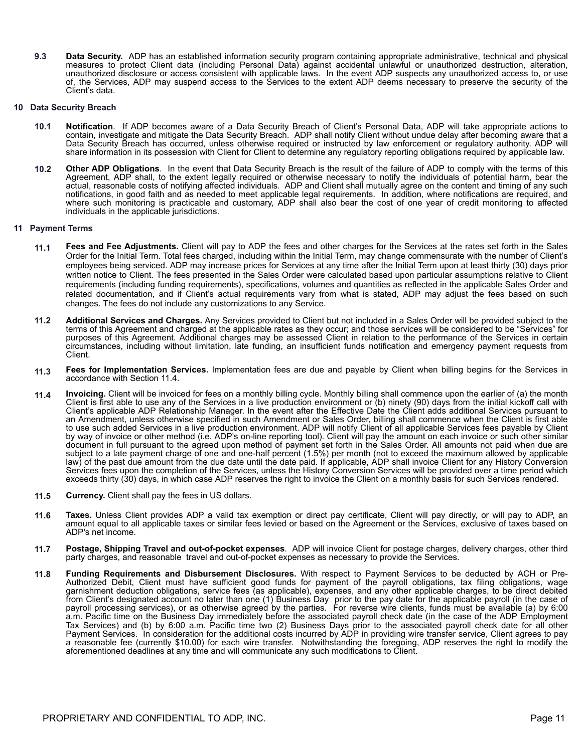**9.3 Data Security.** ADP has an established information security program containing appropriate administrative, technical and physical measures to protect Client data (including Personal Data) against accidental unlawful or unauthorized destruction, alteration, unauthorized disclosure or access consistent with applicable laws. In the event ADP suspects any unauthorized access to, or use of, the Services, ADP may suspend access to the Services to the extent ADP deems necessary to preserve the security of the Client's data.

#### **10 Data Security Breach**

- **10.1 Notification**. If ADP becomes aware of a Data Security Breach of Client's Personal Data, ADP will take appropriate actions to contain, investigate and mitigate the Data Security Breach. ADP shall notify Client without undue delay after becoming aware that a Data Security Breach has occurred, unless otherwise required or instructed by law enforcement or regulatory authority. ADP will share information in its possession with Client for Client to determine any regulatory reporting obligations required by applicable law.
- **10.2 Other ADP Obligations**. In the event that Data Security Breach is the result of the failure of ADP to comply with the terms of this Agreement, ADP shall, to the extent legally required or otherwise necessary to notify the individuals of potential harm, bear the actual, reasonable costs of notifying affected individuals. ADP and Client shall mutually agree on the content and timing of any such notifications, in good faith and as needed to meet applicable legal requirements. In addition, where notifications are required, and where such monitoring is practicable and customary, ADP shall also bear the cost of one year of credit monitoring to affected individuals in the applicable jurisdictions.

#### **11 Payment Terms**

- **11.1 Fees and Fee Adjustments.** Client will pay to ADP the fees and other charges for the Services at the rates set forth in the Sales Order for the Initial Term. Total fees charged, including within the Initial Term, may change commensurate with the number of Client's employees being serviced. ADP may increase prices for Services at any time after the Initial Term upon at least thirty (30) days prior written notice to Client. The fees presented in the Sales Order were calculated based upon particular assumptions relative to Client requirements (including funding requirements), specifications, volumes and quantities as reflected in the applicable Sales Order and related documentation, and if Client's actual requirements vary from what is stated, ADP may adjust the fees based on such changes. The fees do not include any customizations to any Service.
- **11.2 Additional Services and Charges.** Any Services provided to Client but not included in a Sales Order will be provided subject to the terms of this Agreement and charged at the applicable rates as they occur; and those services will be considered to be "Services" for purposes of this Agreement. Additional charges may be assessed Client in relation to the performance of the Services in certain circumstances, including without limitation, late funding, an insufficient funds notification and emergency payment requests from Client.
- **11.3 Fees for Implementation Services.** Implementation fees are due and payable by Client when billing begins for the Services in accordance with Section 11.4.
- **11.4 Invoicing.** Client will be invoiced for fees on a monthly billing cycle. Monthly billing shall commence upon the earlier of (a) the month Client is first able to use any of the Services in a live production environment or (b) ninety (90) days from the initial kickoff call with Client's applicable ADP Relationship Manager. In the event after the Effective Date the Client adds additional Services pursuant to an Amendment, unless otherwise specified in such Amendment or Sales Order, billing shall commence when the Client is first able to use such added Services in a live production environment. ADP will notify Client of all applicable Services fees payable by Client by way of invoice or other method (i.e. ADP's on-line reporting tool). Client will pay the amount on each invoice or such other similar document in full pursuant to the agreed upon method of payment set forth in the Sales Order. All amounts not paid when due are subject to a late payment charge of one and one-half percent (1.5%) per month (not to exceed the maximum allowed by applicable law) of the past due amount from the due date until the date paid. If applicable, ADP shall invoice Client for any History Conversion Services fees upon the completion of the Services, unless the History Conversion Services will be provided over a time period which exceeds thirty (30) days, in which case ADP reserves the right to invoice the Client on a monthly basis for such Services rendered.
- **11.5 Currency.** Client shall pay the fees in US dollars.
- **11.6 Taxes.** Unless Client provides ADP a valid tax exemption or direct pay certificate, Client will pay directly, or will pay to ADP, an amount equal to all applicable taxes or similar fees levied or based on the Agreement or the Services, exclusive of taxes based on ADP's net income.
- **11.7 Postage, Shipping Travel and out-of-pocket expenses**. ADP will invoice Client for postage charges, delivery charges, other third party charges, and reasonable travel and out-of-pocket expenses as necessary to provide the Services.
- **11.8 Funding Requirements and Disbursement Disclosures.** With respect to Payment Services to be deducted by ACH or Pre-Authorized Debit, Client must have sufficient good funds for payment of the payroll obligations, tax filing obligations, wage garnishment deduction obligations, service fees (as applicable), expenses, and any other applicable charges, to be direct debited from Client's designated account no later than one (1) Business Day prior to the pay date for the applicable payroll (in the case of payroll processing services), or as otherwise agreed by the parties. For reverse wire clients, funds must be available (a) by 6:00 a.m. Pacific time on the Business Day immediately before the associated payroll check date (in the case of the ADP Employment Tax Services) and (b) by 6:00 a.m. Pacific time two (2) Business Days prior to the associated payroll check date for all other Payment Services. In consideration for the additional costs incurred by ADP in providing wire transfer service, Client agrees to pay a reasonable fee (currently \$10.00) for each wire transfer.Notwithstanding the foregoing, ADP reserves the right to modify the aforementioned deadlines at any time and will communicate any such modifications to Client.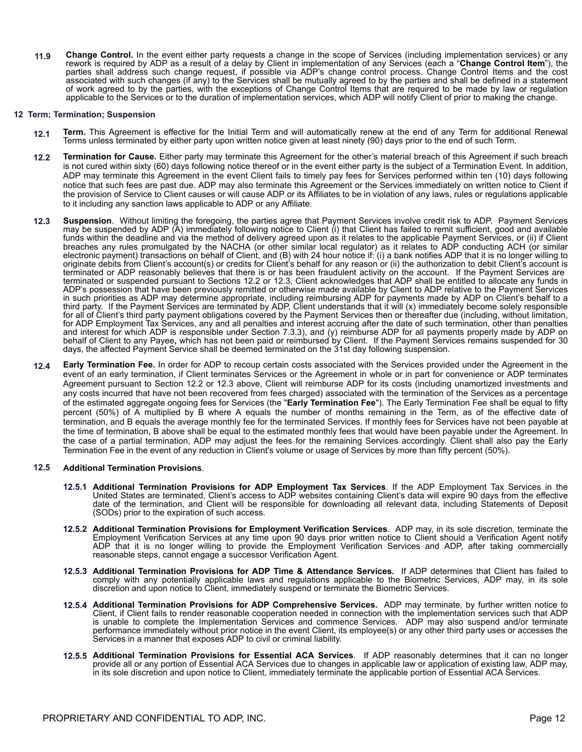**11.9 Change Control.** In the event either party requests a change in the scope of Services (including implementation services) or any rework is required by ADP as a result of a delay by Client in implementation of any Services (each a "**Change Control Item**"), the parties shall address such change request, if possible via ADP's change control process. Change Control Items and the cost associated with such changes (if any) to the Services shall be mutually agreed to by the parties and shall be defined in a statement of work agreed to by the parties, with the exceptions of Change Control Items that are required to be made by law or regulation applicable to the Services or to the duration of implementation services, which ADP will notify Client of prior to making the change.

#### **12 Term; Termination; Suspension**

- **12.1 Term.** This Agreement is effective for the Initial Term and will automatically renew at the end of any Term for additional Renewal Terms unless terminated by either party upon written notice given at least ninety (90) days prior to the end of such Term.
- **12.2 Termination for Cause.** Either party may terminate this Agreement for the other's material breach of this Agreement if such breach is not cured within sixty (60) days following notice thereof or in the event either party is the subject of a Termination Event. In addition, ADP may terminate this Agreement in the event Client fails to timely pay fees for Services performed within ten (10) days following notice that such fees are past due. ADP may also terminate this Agreement or the Services immediately on written notice to Client if the provision of Service to Client causes or will cause ADP or its Affiliates to be in violation of any laws, rules or regulations applicable to it including any sanction laws applicable to ADP or any Affiliate.
- **12.3 Suspension**. Without limiting the foregoing, the parties agree that Payment Services involve credit risk to ADP. Payment Services may be suspended by ADP (A) immediately following notice to Client (i) that Client has failed to remit sufficient, good and available funds within the deadline and via the method of delivery agreed upon as it relates to the applicable Payment Services, or (ii) if Client breaches any rules promulgated by the NACHA (or other similar local regulator) as it relates to ADP conducting ACH (or similar electronic payment) transactions on behalf of Client, and (B) with 24 hour notice if: (i) a bank notifies ADP that it is no longer willing to originate debits from Client's account(s) or credits for Client's behalf for any reason or (ii) the authorization to debit Client's account is terminated or ADP reasonably believes that there is or has been fraudulent activity on the account. If the Payment Services are terminated or suspended pursuant to Sections 12.2 or 12.3, Client acknowledges that ADP shall be entitled to allocate any funds in ADP's possession that have been previously remitted or otherwise made available by Client to ADP relative to the Payment Services in such priorities as ADP may determine appropriate, including reimbursing ADP for payments made by ADP on Client's behalf to a third party. If the Payment Services are terminated by ADP, Client understands that it will (x) immediately become solely responsible for all of Client's third party payment obligations covered by the Payment Services then or thereafter due (including, without limitation, for ADP Employment Tax Services, any and all penalties and interest accruing after the date of such termination, other than penalties and interest for which ADP is responsible under Section 7.3.3), and (y) reimburse ADP for all payments properly made by ADP on behalf of Client to any Payee**,** which has not been paid or reimbursed by Client. If the Payment Services remains suspended for 30 days, the affected Payment Service shall be deemed terminated on the 31st day following suspension.
- **12.4 Early Termination Fee.** In order for ADP to recoup certain costs associated with the Services provided under the Agreement in the event of an early termination, if Client terminates Services or the Agreement in whole or in part for convenience or ADP terminates Agreement pursuant to Section 12.2 or 12.3 above, Client will reimburse ADP for its costs (including unamortized investments and any costs incurred that have not been recovered from fees charged) associated with the termination of the Services as a percentage of the estimated aggregate ongoing fees for Services (the "**Early Termination Fee**"). The Early Termination Fee shall be equal to fifty percent (50%) of A multiplied by B where A equals the number of months remaining in the Term, as of the effective date of termination, and B equals the average monthly fee for the terminated Services. If monthly fees for Services have not been payable at the time of termination, B above shall be equal to the estimated monthly fees that would have been payable under the Agreement. In the case of a partial termination, ADP may adjust the fees for the remaining Services accordingly. Client shall also pay the Early Termination Fee in the event of any reduction in Client's volume or usage of Services by more than fifty percent (50%).

#### **12.5 Additional Termination Provisions**.

- **12.5.1 Additional Termination Provisions for ADP Employment Tax Services**. If the ADP Employment Tax Services in the United States are terminated, Client's access to ADP websites containing Client's data will expire 90 days from the effective date of the termination, and Client will be responsible for downloading all relevant data, including Statements of Deposit (SODs) prior to the expiration of such access.
- **12.5.2 Additional Termination Provisions for Employment Verification Services**. ADP may, in its sole discretion, terminate the Employment Verification Services at any time upon 90 days prior written notice to Client should a Verification Agent notify ADP that it is no longer willing to provide the Employment Verification Services and ADP, after taking commercially reasonable steps, cannot engage a successor Verification Agent.
- **12.5.3 Additional Termination Provisions for ADP Time & Attendance Services.** If ADP determines that Client has failed to comply with any potentially applicable laws and regulations applicable to the Biometric Services, ADP may, in its sole discretion and upon notice to Client, immediately suspend or terminate the Biometric Services.
- **12.5.4 Additional Termination Provisions for ADP Comprehensive Services.** ADP may terminate, by further written notice to Client, if Client fails to render reasonable cooperation needed in connection with the implementation services such that ADP is unable to complete the Implementation Services and commence Services. ADP may also suspend and/or terminate performance immediately without prior notice in the event Client, its employee(s) or any other third party uses or accesses the Services in a manner that exposes ADP to civil or criminal liability.
- **12.5.5 Additional Termination Provisions for Essential ACA Services**. If ADP reasonably determines that it can no longer provide all or any portion of Essential ACA Services due to changes in applicable law or application of existing law, ADP may, in its sole discretion and upon notice to Client, immediately terminate the applicable portion of Essential ACA Services.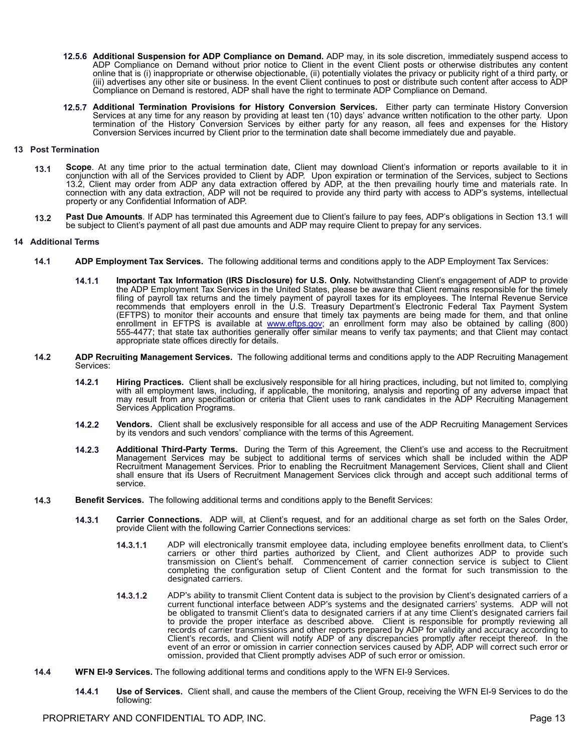- **12.5.6 Additional Suspension for ADP Compliance on Demand.** ADP may, in its sole discretion, immediately suspend access to ADP Compliance on Demand without prior notice to Client in the event Client posts or otherwise distributes any content online that is (i) inappropriate or otherwise objectionable, (ii) potentially violates the privacy or publicity right of a third party, or (iii) advertises any other site or business. In the event Client continues to post or distribute such content after access to ADP Compliance on Demand is restored, ADP shall have the right to terminate ADP Compliance on Demand.
- **12.5.7 Additional Termination Provisions for History Conversion Services.** Either party can terminate History Conversion Services at any time for any reason by providing at least ten (10) days' advance written notification to the other party. Upon termination of the History Conversion Services by either party for any reason, all fees and expenses for the History Conversion Services incurred by Client prior to the termination date shall become immediately due and payable.

#### **13 Post Termination**

- **13.1 Scope**. At any time prior to the actual termination date, Client may download Client's information or reports available to it in conjunction with all of the Services provided to Client by ADP. Upon expiration or termination of the Services, subject to Sections 13.2, Client may order from ADP any data extraction offered by ADP, at the then prevailing hourly time and materials rate. In connection with any data extraction, ADP will not be required to provide any third party with access to ADP's systems, intellectual property or any Confidential Information of ADP.
- **13.2 Past Due Amounts**. If ADP has terminated this Agreement due to Client's failure to pay fees, ADP's obligations in Section 13.1 will be subject to Client's payment of all past due amounts and ADP may require Client to prepay for any services.

#### **14 Additional Terms**

- **14.1 ADP Employment Tax Services.** The following additional terms and conditions apply to the ADP Employment Tax Services:
	- **14.1.1 Important Tax Information (IRS Disclosure) for U.S. Only.** Notwithstanding Client's engagement of ADP to provide the ADP Employment Tax Services in the United States, please be aware that Client remains responsible for the timely filing of payroll tax returns and the timely payment of payroll taxes for its employees. The Internal Revenue Service recommends that employers enroll in the U.S. Treasury Department's Electronic Federal Tax Payment System (EFTPS) to monitor their accounts and ensure that timely tax payments are being made for them, and that online enrollment in EFTPS is available at [www.eftps.gov](http://www.eftps.gov); an enrollment form may also be obtained by calling (800) 555-4477; that state tax authorities generally offer similar means to verify tax payments; and that Client may contact appropriate state offices directly for details.
- **14.2 ADP Recruiting Management Services.** The following additional terms and conditions apply to the ADP Recruiting Management Services:
	- **14.2.1 Hiring Practices.** Client shall be exclusively responsible for all hiring practices, including, but not limited to, complying with all employment laws, including, if applicable, the monitoring, analysis and reporting of any adverse impact that may result from any specification or criteria that Client uses to rank candidates in the ADP Recruiting Management Services Application Programs.
	- **14.2.2 Vendors.** Client shall be exclusively responsible for all access and use of the ADP Recruiting Management Services by its vendors and such vendors' compliance with the terms of this Agreement.
	- **14.2.3 Additional Third-Party Terms.** During the Term of this Agreement, the Client's use and access to the Recruitment Management Services may be subject to additional terms of services which shall be included within the ADP Recruitment Management Services. Prior to enabling the Recruitment Management Services, Client shall and Client shall ensure that its Users of Recruitment Management Services click through and accept such additional terms of service.
- **14.3 Benefit Services.** The following additional terms and conditions apply to the Benefit Services:
	- **14.3.1 Carrier Connections.** ADP will, at Client's request, and for an additional charge as set forth on the Sales Order, provide Client with the following Carrier Connections services:
		- **14.3.1.1** ADP will electronically transmit employee data, including employee benefits enrollment data, to Client's carriers or other third parties authorized by Client, and Client authorizes ADP to provide such transmission on Client's behalf. Commencement of carrier connection service is subject to Client completing the configuration setup of Client Content and the format for such transmission to the designated carriers.
		- **14.3.1.2** ADP's ability to transmit Client Content data is subject to the provision by Client's designated carriers of a current functional interface between ADP's systems and the designated carriers' systems. ADP will not be obligated to transmit Client's data to designated carriers if at any time Client's designated carriers fail to provide the proper interface as described above. Client is responsible for promptly reviewing all records of carrier transmissions and other reports prepared by ADP for validity and accuracy according to Client's records, and Client will notify ADP of any discrepancies promptly after receipt thereof. In the event of an error or omission in carrier connection services caused by ADP, ADP will correct such error or omission, provided that Client promptly advises ADP of such error or omission.
- **14.4 WFN EI-9 Services.** The following additional terms and conditions apply to the WFN EI-9 Services.
	- **14.4.1 Use of Services.** Client shall, and cause the members of the Client Group, receiving the WFN EI-9 Services to do the following: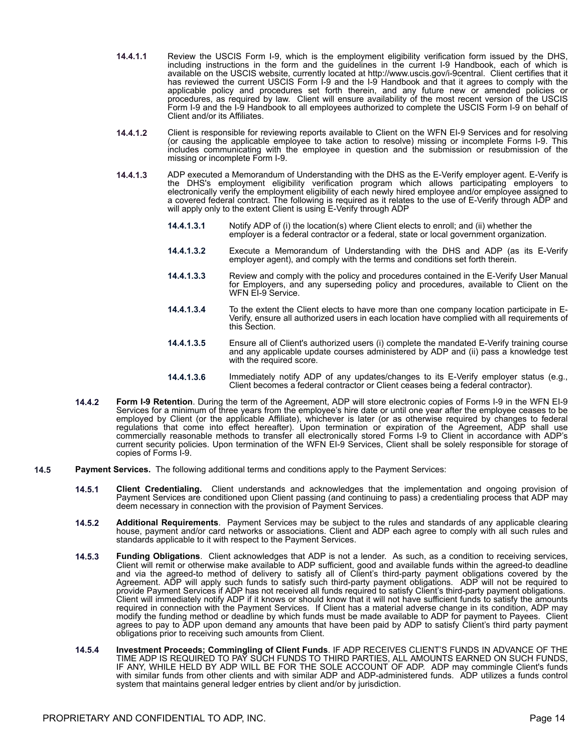- **14.4.1.1** Review the USCIS Form I-9, which is the employment eligibility verification form issued by the DHS, including instructions in the form and the guidelines in the current I-9 Handbook, each of which is available on the USCIS website, currently located at http://www.uscis.gov/i-9central. Client certifies that it has reviewed the current USCIS Form I-9 and the I-9 Handbook and that it agrees to comply with the applicable policy and procedures set forth therein, and any future new or amended policies or procedures, as required by law. Client will ensure availability of the most recent version of the USCIS Form I-9 and the I-9 Handbook to all employees authorized to complete the USCIS Form I-9 on behalf of Client and/or its Affiliates.
- **14.4.1.2** Client is responsible for reviewing reports available to Client on the WFN EI-9 Services and for resolving (or causing the applicable employee to take action to resolve) missing or incomplete Forms I-9. This includes communicating with the employee in question and the submission or resubmission of the missing or incomplete Form I-9.
- **14.4.1.3** ADP executed a Memorandum of Understanding with the DHS as the E-Verify employer agent. E-Verify is the DHS's employment eligibility verification program which allows participating employers to electronically verify the employment eligibility of each newly hired employee and/or employee assigned to a covered federal contract. The following is required as it relates to the use of E-Verify through ADP and will apply only to the extent Client is using E-Verify through ADP
	- **14.4.1.3.1** Notify ADP of (i) the location(s) where Client elects to enroll; and (ii) whether the employer is a federal contractor or a federal, state or local government organization.
	- **14.4.1.3.2** Execute a Memorandum of Understanding with the DHS and ADP (as its E-Verify employer agent), and comply with the terms and conditions set forth therein.
	- **14.4.1.3.3** Review and comply with the policy and procedures contained in the E-Verify User Manual for Employers, and any superseding policy and procedures, available to Client on the WFN EI-9 Service.
	- **14.4.1.3.4** To the extent the Client elects to have more than one company location participate in E-Verify, ensure all authorized users in each location have complied with all requirements of this Section.
	- **14.4.1.3.5** Ensure all of Client's authorized users (i) complete the mandated E-Verify training course and any applicable update courses administered by ADP and (ii) pass a knowledge test with the required score.
	- **14.4.1.3.6** Immediately notify ADP of any updates/changes to its E-Verify employer status (e.g., Client becomes a federal contractor or Client ceases being a federal contractor).
- **14.4.2 Form I-9 Retention**. During the term of the Agreement, ADP will store electronic copies of Forms I-9 in the WFN EI-9 Services for a minimum of three years from the employee's hire date or until one year after the employee ceases to be employed by Client (or the applicable Affiliate), whichever is later (or as otherwise required by changes to federal regulations that come into effect hereafter). Upon termination or expiration of the Agreement, ADP shall use commercially reasonable methods to transfer all electronically stored Forms I-9 to Client in accordance with ADP's current security policies. Upon termination of the WFN EI-9 Services, Client shall be solely responsible for storage of copies of Forms I-9.
- **14.5 Payment Services.** The following additional terms and conditions apply to the Payment Services:
	- **14.5.1 Client Credentialing.** Client understands and acknowledges that the implementation and ongoing provision of Payment Services are conditioned upon Client passing (and continuing to pass) a credentialing process that ADP may deem necessary in connection with the provision of Payment Services.
	- **14.5.2 Additional Requirements**. Payment Services may be subject to the rules and standards of any applicable clearing house, payment and/or card networks or associations. Client and ADP each agree to comply with all such rules and standards applicable to it with respect to the Payment Services.
	- **14.5.3 Funding Obligations**. Client acknowledges that ADP is not a lender. As such, as a condition to receiving services, Client will remit or otherwise make available to ADP sufficient, good and available funds within the agreed-to deadline and via the agreed-to method of delivery to satisfy all of Client's third-party payment obligations covered by the Agreement. ADP will apply such funds to satisfy such third-party payment obligations. ADP will not be required to provide Payment Services if ADP has not received all funds required to satisfy Client's third-party payment obligations. Client will immediately notify ADP if it knows or should know that it will not have sufficient funds to satisfy the amounts required in connection with the Payment Services. If Client has a material adverse change in its condition, ADP may modify the funding method or deadline by which funds must be made available to ADP for payment to Payees. Client agrees to pay to ADP upon demand any amounts that have been paid by ADP to satisfy Client's third party payment obligations prior to receiving such amounts from Client.
	- **14.5.4 Investment Proceeds; Commingling of Client Funds**. IF ADP RECEIVES CLIENT'S FUNDS IN ADVANCE OF THE TIME ADP IS REQUIRED TO PAY SUCH FUNDS TO THIRD PARTIES, ALL AMOUNTS EARNED ON SUCH FUNDS, IF ANY, WHILE HELD BY ADP WILL BE FOR THE SOLE ACCOUNT OF ADP. ADP may commingle Client's funds with similar funds from other clients and with similar ADP and ADP-administered funds. ADP utilizes a funds control system that maintains general ledger entries by client and/or by jurisdiction.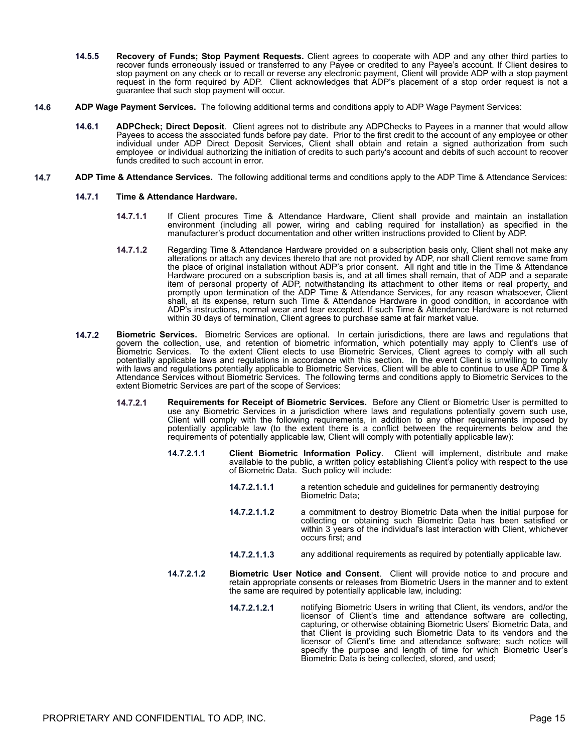- **14.5.5 Recovery of Funds; Stop Payment Requests.** Client agrees to cooperate with ADP and any other third parties to recover funds erroneously issued or transferred to any Payee or credited to any Payee's account. If Client desires to stop payment on any check or to recall or reverse any electronic payment, Client will provide ADP with a stop payment request in the form required by ADP. Client acknowledges that ADP's placement of a stop order request is not a guarantee that such stop payment will occur.
- **14.6 ADP Wage Payment Services.** The following additional terms and conditions apply to ADP Wage Payment Services:
	- **14.6.1 ADPCheck; Direct Deposit**. Client agrees not to distribute any ADPChecks to Payees in a manner that would allow Payees to access the associated funds before pay date. Prior to the first credit to the account of any employee or other individual under ADP Direct Deposit Services, Client shall obtain and retain a signed authorization from such employee or individual authorizing the initiation of credits to such party's account and debits of such account to recover funds credited to such account in error.
- **14.7 ADP Time & Attendance Services.** The following additional terms and conditions apply to the ADP Time & Attendance Services:
	- **14.7.1 Time & Attendance Hardware.**
		- **14.7.1.1** If Client procures Time & Attendance Hardware, Client shall provide and maintain an installation environment (including all power, wiring and cabling required for installation) as specified in the manufacturer's product documentation and other written instructions provided to Client by ADP.
		- **14.7.1.2** Regarding Time & Attendance Hardware provided on a subscription basis only, Client shall not make any alterations or attach any devices thereto that are not provided by ADP, nor shall Client remove same from the place of original installation without ADP's prior consent. All right and title in the Time & Attendance Hardware procured on a subscription basis is, and at all times shall remain, that of ADP and a separate item of personal property of ADP, notwithstanding its attachment to other items or real property, and promptly upon termination of the ADP Time & Attendance Services, for any reason whatsoever, Client shall, at its expense, return such Time & Attendance Hardware in good condition, in accordance with ADP's instructions, normal wear and tear excepted. If such Time & Attendance Hardware is not returned within 30 days of termination, Client agrees to purchase same at fair market value.
	- **14.7.2 Biometric Services.** Biometric Services are optional. In certain jurisdictions, there are laws and regulations that govern the collection, use, and retention of biometric information, which potentially may apply to Client's use of Biometric Services. To the extent Client elects to use Biometric Services, Client agrees to comply with all such potentially applicable laws and regulations in accordance with this section. In the event Client is unwilling to comply with laws and regulations potentially applicable to Biometric Services, Client will be able to continue to use ADP Time & Attendance Services without Biometric Services.The following terms and conditions apply to Biometric Services to the extent Biometric Services are part of the scope of Services:
		- **14.7.2.1 Requirements for Receipt of Biometric Services.** Before any Client or Biometric User is permitted to use any Biometric Services in a jurisdiction where laws and regulations potentially govern such use, Client will comply with the following requirements, in addition to any other requirements imposed by potentially applicable law (to the extent there is a conflict between the requirements below and the requirements of potentially applicable law, Client will comply with potentially applicable law):
			- **14.7.2.1.1 Client Biometric Information Policy**. Client will implement, distribute and make available to the public, a written policy establishing Client's policy with respect to the use of Biometric Data. Such policy will include:
				- **14.7.2.1.1.1** a retention schedule and guidelines for permanently destroying Biometric Data;
				- **14.7.2.1.1.2** a commitment to destroy Biometric Data when the initial purpose for collecting or obtaining such Biometric Data has been satisfied or within 3 years of the individual's last interaction with Client, whichever occurs first; and
				- **14.7.2.1.1.3** any additional requirements as required by potentially applicable law.
			- **14.7.2.1.2 Biometric User Notice and Consent**. Client will provide notice to and procure and retain appropriate consents or releases from Biometric Users in the manner and to extent the same are required by potentially applicable law, including:
				- **14.7.2.1.2.1** notifying Biometric Users in writing that Client, its vendors, and/or the licensor of Client's time and attendance software are collecting, capturing, or otherwise obtaining Biometric Users' Biometric Data, and that Client is providing such Biometric Data to its vendors and the licensor of Client's time and attendance software; such notice will specify the purpose and length of time for which Biometric User's Biometric Data is being collected, stored, and used;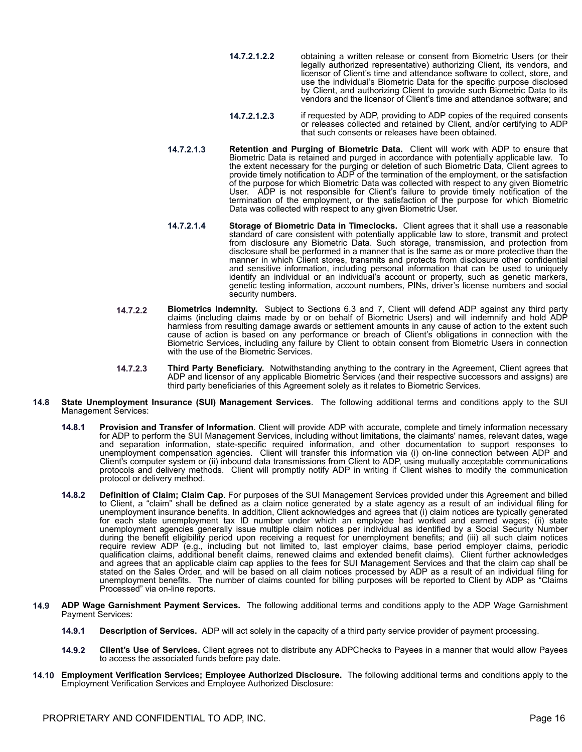- **14.7.2.1.2.2** obtaining a written release or consent from Biometric Users (or their legally authorized representative) authorizing Client, its vendors, and licensor of Client's time and attendance software to collect, store, and use the individual's Biometric Data for the specific purpose disclosed by Client, and authorizing Client to provide such Biometric Data to its vendors and the licensor of Client's time and attendance software; and
- **14.7.2.1.2.3** if requested by ADP, providing to ADP copies of the required consents or releases collected and retained by Client, and/or certifying to ADP that such consents or releases have been obtained.
- **14.7.2.1.3 Retention and Purging of Biometric Data.** Client will work with ADP to ensure that Biometric Data is retained and purged in accordance with potentially applicable law. To the extent necessary for the purging or deletion of such Biometric Data, Client agrees to provide timely notification to ADP of the termination of the employment, or the satisfaction of the purpose for which Biometric Data was collected with respect to any given Biometric User. ADP is not responsible for Client's failure to provide timely notification of the termination of the employment, or the satisfaction of the purpose for which Biometric Data was collected with respect to any given Biometric User.
- **14.7.2.1.4 Storage of Biometric Data in Timeclocks.** Client agrees that it shall use a reasonable standard of care consistent with potentially applicable law to store, transmit and protect from disclosure any Biometric Data. Such storage, transmission, and protection from disclosure shall be performed in a manner that is the same as or more protective than the manner in which Client stores, transmits and protects from disclosure other confidential and sensitive information, including personal information that can be used to uniquely identify an individual or an individual's account or property, such as genetic markers, genetic testing information, account numbers, PINs, driver's license numbers and social security numbers.
- **14.7.2.2 Biometrics Indemnity.** Subject to Sections 6.3 and 7, Client will defend ADP against any third party claims (including claims made by or on behalf of Biometric Users) and will indemnify and hold ADP harmless from resulting damage awards or settlement amounts in any cause of action to the extent such cause of action is based on any performance or breach of Client's obligations in connection with the Biometric Services, including any failure by Client to obtain consent from Biometric Users in connection with the use of the Biometric Services.
- **14.7.2.3 Third Party Beneficiary.** Notwithstanding anything to the contrary in the Agreement, Client agrees that ADP and licensor of any applicable Biometric Services (and their respective successors and assigns) are third party beneficiaries of this Agreement solely as it relates to Biometric Services.
- **14.8 State Unemployment Insurance (SUI) Management Services**. The following additional terms and conditions apply to the SUI Management Services:
	- **14.8.1 Provision and Transfer of Information**. Client will provide ADP with accurate, complete and timely information necessary for ADP to perform the SUI Management Services, including without limitations, the claimants' names, relevant dates, wage and separation information, state-specific required information, and other documentation to support responses to unemployment compensation agencies. Client will transfer this information via (i) on-line connection between ADP and Client's computer system or (ii) inbound data transmissions from Client to ADP, using mutually acceptable communications protocols and delivery methods. Client will promptly notify ADP in writing if Client wishes to modify the communication protocol or delivery method.
	- **14.8.2 Definition of Claim; Claim Cap**. For purposes of the SUI Management Services provided under this Agreement and billed to Client, a "claim" shall be defined as a claim notice generated by a state agency as a result of an individual filing for unemployment insurance benefits. In addition, Client acknowledges and agrees that (i) claim notices are typically generated for each state unemployment tax ID number under which an employee had worked and earned wages; (ii) state unemployment agencies generally issue multiple claim notices per individual as identified by a Social Security Number during the benefit eligibility period upon receiving a request for unemployment benefits; and (iii) all such claim notices require review ADP (e.g., including but not limited to, last employer claims, base period employer claims, periodic qualification claims, additional benefit claims, renewed claims and extended benefit claims). Client further acknowledges and agrees that an applicable claim cap applies to the fees for SUI Management Services and that the claim cap shall be stated on the Sales Order, and will be based on all claim notices processed by ADP as a result of an individual filing for unemployment benefits. The number of claims counted for billing purposes will be reported to Client by ADP as "Claims Processed" via on-line reports.
- **14.9 ADP Wage Garnishment Payment Services.** The following additional terms and conditions apply to the ADP Wage Garnishment Payment Services:
	- **14.9.1 Description of Services.** ADP will act solely in the capacity of a third party service provider of payment processing.
	- **14.9.2 Client's Use of Services.** Client agrees not to distribute any ADPChecks to Payees in a manner that would allow Payees to access the associated funds before pay date.
- **14.10 Employment Verification Services; Employee Authorized Disclosure.** The following additional terms and conditions apply to the Employment Verification Services and Employee Authorized Disclosure: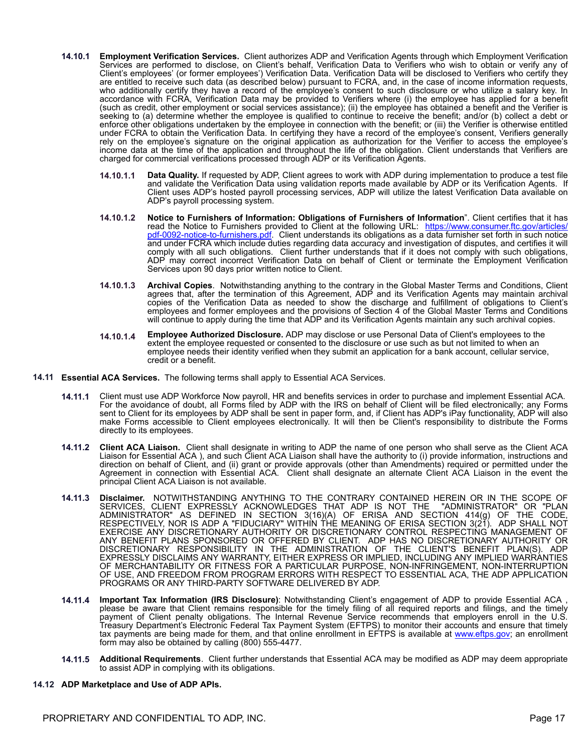- **14.10.1 Employment Verification Services.** Client authorizes ADP and Verification Agents through which Employment Verification Services are performed to disclose, on Client's behalf, Verification Data to Verifiers who wish to obtain or verify any of Client's employees' (or former employees') Verification Data. Verification Data will be disclosed to Verifiers who certify they are entitled to receive such data (as described below) pursuant to FCRA, and, in the case of income information requests, who additionally certify they have a record of the employee's consent to such disclosure or who utilize a salary key. In accordance with FCRA, Verification Data may be provided to Verifiers where (i) the employee has applied for a benefit (such as credit, other employment or social services assistance); (ii) the employee has obtained a benefit and the Verifier is seeking to (a) determine whether the employee is qualified to continue to receive the benefit; and/or (b) collect a debt or enforce other obligations undertaken by the employee in connection with the benefit; or (iii) the Verifier is otherwise entitled under FCRA to obtain the Verification Data. In certifying they have a record of the employee's consent, Verifiers generally rely on the employee's signature on the original application as authorization for the Verifier to access the employee's income data at the time of the application and throughout the life of the obligation. Client understands that Verifiers are charged for commercial verifications processed through ADP or its Verification Agents.
	- **14.10.1.1 Data Quality.** If requested by ADP, Client agrees to work with ADP during implementation to produce a test file and validate the Verification Data using validation reports made available by ADP or its Verification Agents. If Client uses ADP's hosted payroll processing services, ADP will utilize the latest Verification Data available on ADP's payroll processing system.
	- **14.10.1.2 Notice to Furnishers of Information: Obligations of Furnishers of Information**". Client certifies that it has read the Notice to Furnishers provided to Client at the following URL: https://www.consumer.ftc.gov/articles. [pdf-0092-notice-to-furnishers.pdf.](https://www.consumer.ftc.gov/articles/pdf-0092-notice-to-furnishers.pdf) Client understands its obligations as a data furnisher set forth in such notice and under FCRA which include duties regarding data accuracy and investigation of disputes, and certifies it will comply with all such obligations. Client further understands that if it does not comply with such obligations, ADP may correct incorrect Verification Data on behalf of Client or terminate the Employment Verification Services upon 90 days prior written notice to Client.
	- **14.10.1.3 Archival Copies**. Notwithstanding anything to the contrary in the Global Master Terms and Conditions, Client agrees that, after the termination of this Agreement, ADP and its Verification Agents may maintain archival copies of the Verification Data as needed to show the discharge and fulfillment of obligations to Client's employees and former employees and the provisions of Section 4 of the Global Master Terms and Conditions will continue to apply during the time that ADP and its Verification Agents maintain any such archival copies.
	- **14.10.1.4 Employee Authorized Disclosure.** ADP may disclose or use Personal Data of Client's employees to the extent the employee requested or consented to the disclosure or use such as but not limited to when an employee needs their identity verified when they submit an application for a bank account, cellular service, credit or a benefit.
- **14.11 Essential ACA Services.** The following terms shall apply to Essential ACA Services.
	- **14.11.1** Client must use ADP Workforce Now payroll, HR and benefits services in order to purchase and implement Essential ACA. For the avoidance of doubt, all Forms filed by ADP with the IRS on behalf of Client will be filed electronically; any Forms sent to Client for its employees by ADP shall be sent in paper form, and, if Client has ADP's iPay functionality, ADP will also make Forms accessible to Client employees electronically. It will then be Client's responsibility to distribute the Forms directly to its employees.
	- **14.11.2 Client ACA Liaison.** Client shall designate in writing to ADP the name of one person who shall serve as the Client ACA Liaison for Essential ACA ), and such Client ACA Liaison shall have the authority to (i) provide information, instructions and direction on behalf of Client, and (ii) grant or provide approvals (other than Amendments) required or permitted under the Agreement in connection with Essential ACA. Client shall designate an alternate Client ACA Liaison in the event the principal Client ACA Liaison is not available.
	- **14.11.3 Disclaimer.** NOTWITHSTANDING ANYTHING TO THE CONTRARY CONTAINED HEREIN OR IN THE SCOPE OF SERVICES, CLIENT EXPRESSLY ACKNOWLEDGES THAT ADP IS NOT THE "ADMINISTRATOR" OR "PLAN ADMINISTRATOR" AS DEFINED IN SECTION 3(16)(A) OF ERISA AND SECTION 414(g) OF THE CODE, RESPECTIVELY, NOR IS ADP A "FIDUCIARY" WITHIN THE MEANING OF ERISA SECTION 3(21). ADP SHALL NOT EXERCISE ANY DISCRETIONARY AUTHORITY OR DISCRETIONARY CONTROL RESPECTING MANAGEMENT OF ANY BENEFIT PLANS SPONSORED OR OFFERED BY CLIENT. ADP HAS NO DISCRETIONARY AUTHORITY OR DISCRETIONARY RESPONSIBILITY IN THE ADMINISTRATION OF THE CLIENT'S BENEFIT PLAN(S). ADP EXPRESSLY DISCLAIMS ANY WARRANTY, EITHER EXPRESS OR IMPLIED, INCLUDING ANY IMPLIED WARRANTIES OF MERCHANTABILITY OR FITNESS FOR A PARTICULAR PURPOSE, NON-INFRINGEMENT, NON-INTERRUPTION OF USE, AND FREEDOM FROM PROGRAM ERRORS WITH RESPECT TO ESSENTIAL ACA, THE ADP APPLICATION PROGRAMS OR ANY THIRD-PARTY SOFTWARE DELIVERED BY ADP.
	- **14.11.4 Important Tax Information (IRS Disclosure)**: Notwithstanding Client's engagement of ADP to provide Essential ACA , please be aware that Client remains responsible for the timely filing of all required reports and filings, and the timely payment of Client penalty obligations. The Internal Revenue Service recommends that employers enroll in the U.S. Treasury Department's Electronic Federal Tax Payment System (EFTPS) to monitor their accounts and ensure that timely tax payments are being made for them, and that online enrollment in EFTPS is available at [www.eftps.gov;](http://www.eftps.gov) an enrollment form may also be obtained by calling (800) 555-4477.
	- **14.11.5 Additional Requirements**. Client further understands that Essential ACA may be modified as ADP may deem appropriate to assist ADP in complying with its obligations.

#### **14.12 ADP Marketplace and Use of ADP APIs.**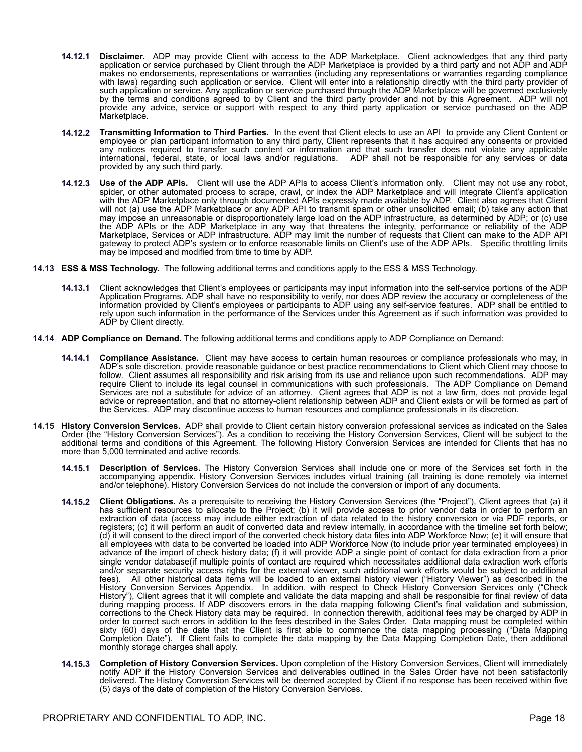- **14.12.1 Disclaimer.** ADP may provide Client with access to the ADP Marketplace. Client acknowledges that any third party application or service purchased by Client through the ADP Marketplace is provided by a third party and not ADP and ADP makes no endorsements, representations or warranties (including any representations or warranties regarding compliance with laws) regarding such application or service. Client will enter into a relationship directly with the third party provider of such application or service. Any application or service purchased through the ADP Marketplace will be governed exclusively by the terms and conditions agreed to by Client and the third party provider and not by this Agreement. ADP will not provide any advice, service or support with respect to any third party application or service purchased on the ADP Marketplace.
- **14.12.2 Transmitting Information to Third Parties.** In the event that Client elects to use an API to provide any Client Content or employee or plan participant information to any third party, Client represents that it has acquired any consents or provided any notices required to transfer such content or information and that such transfer does not violate any applicable international, federal, state, or local laws and/or regulations. ADP shall not be responsible for any services or data provided by any such third party.
- **14.12.3 Use of the ADP APIs.** Client will use the ADP APIs to access Client's information only. Client may not use any robot, spider, or other automated process to scrape, crawl, or index the ADP Marketplace and will integrate Client's application with the ADP Marketplace only through documented APIs expressly made available by ADP. Client also agrees that Client will not (a) use the ADP Marketplace or any ADP API to transmit spam or other unsolicited email; (b) take any action that may impose an unreasonable or disproportionately large load on the ADP infrastructure, as determined by ADP; or (c) use the ADP APIs or the ADP Marketplace in any way that threatens the integrity, performance or reliability of the ADP Marketplace, Services or ADP infrastructure. ADP may limit the number of requests that Client can make to the ADP API gateway to protect ADP's system or to enforce reasonable limits on Client's use of the ADP APIs. Specific throttling limits may be imposed and modified from time to time by ADP.
- **14.13 ESS & MSS Technology.** The following additional terms and conditions apply to the ESS & MSS Technology.
	- **14.13.1** Client acknowledges that Client's employees or participants may input information into the self-service portions of the ADP Application Programs. ADP shall have no responsibility to verify, nor does ADP review the accuracy or completeness of the information provided by Client's employees or participants to ADP using any self-service features. ADP shall be entitled to rely upon such information in the performance of the Services under this Agreement as if such information was provided to ADP by Client directly.
- **14.14 ADP Compliance on Demand.** The following additional terms and conditions apply to ADP Compliance on Demand:
	- **14.14.1 Compliance Assistance.** Client may have access to certain human resources or compliance professionals who may, in ADP's sole discretion, provide reasonable guidance or best practice recommendations to Client which Client may choose to follow. Client assumes all responsibility and risk arising from its use and reliance upon such recommendations. ADP may require Client to include its legal counsel in communications with such professionals. The ADP Compliance on Demand Services are not a substitute for advice of an attorney. Client agrees that ADP is not a law firm, does not provide legal advice or representation, and that no attorney-client relationship between ADP and Client exists or will be formed as part of the Services. ADP may discontinue access to human resources and compliance professionals in its discretion.
- **14.15 History Conversion Services.** ADP shall provide to Client certain history conversion professional services as indicated on the Sales Order (the "History Conversion Services"). As a condition to receiving the History Conversion Services, Client will be subject to the additional terms and conditions of this Agreement. The following History Conversion Services are intended for Clients that has no more than 5,000 terminated and active records.
	- **14.15.1 Description of Services.** The History Conversion Services shall include one or more of the Services set forth in the accompanying appendix. History Conversion Services includes virtual training (all training is done remotely via internet and/or telephone). History Conversion Services do not include the conversion or import of any documents.
	- **14.15.2 Client Obligations.** As a prerequisite to receiving the History Conversion Services (the "Project"), Client agrees that (a) it has sufficient resources to allocate to the Project; (b) it will provide access to prior vendor data in order to perform an extraction of data (access may include either extraction of data related to the history conversion or via PDF reports, or registers; (c) it will perform an audit of converted data and review internally, in accordance with the timeline set forth below; (d) it will consent to the direct import of the converted check history data files into ADP Workforce Now; (e) it will ensure that all employees with data to be converted be loaded into ADP Workforce Now (to include prior year terminated employees) in advance of the import of check history data; (f) it will provide ADP a single point of contact for data extraction from a prior single vendor database(if multiple points of contact are required which necessitates additional data extraction work efforts and/or separate security access rights for the external viewer, such additional work efforts would be subject to additional fees). All other historical data items will be loaded to an external history viewer ("History Viewer") as described in the History Conversion Services Appendix. In addition, with respect to Check History Conversion Services only ("Check History"), Client agrees that it will complete and validate the data mapping and shall be responsible for final review of data during mapping process. If ADP discovers errors in the data mapping following Client's final validation and submission, corrections to the Check History data may be required. In connection therewith, additional fees may be charged by ADP in order to correct such errors in addition to the fees described in the Sales Order. Data mapping must be completed within sixty (60) days of the date that the Client is first able to commence the data mapping processing ("Data Mapping Completion Date"). If Client fails to complete the data mapping by the Data Mapping Completion Date, then additional monthly storage charges shall apply.
	- **14.15.3 Completion of History Conversion Services.** Upon completion of the History Conversion Services, Client will immediately notify ADP if the History Conversion Services and deliverables outlined in the Sales Order have not been satisfactorily delivered. The History Conversion Services will be deemed accepted by Client if no response has been received within five (5) days of the date of completion of the History Conversion Services.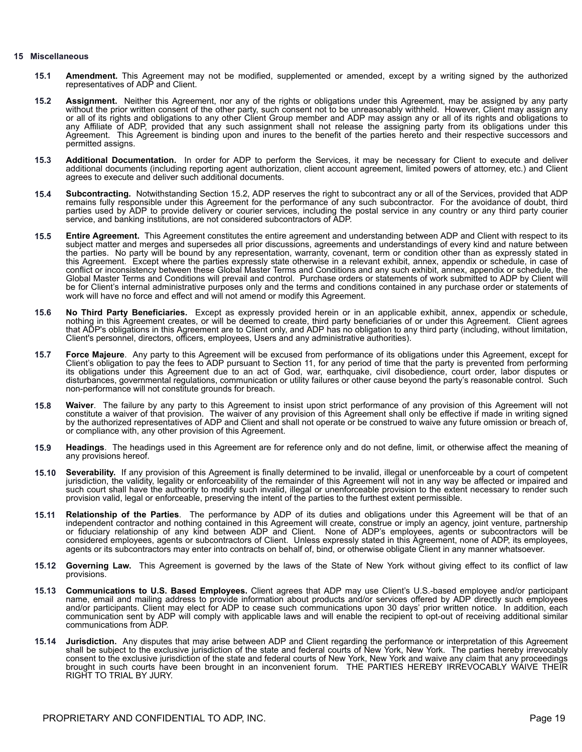#### **15 Miscellaneous**

- **15.1 Amendment.** This Agreement may not be modified, supplemented or amended, except by a writing signed by the authorized representatives of ADP and Client.
- **15.2 Assignment.** Neither this Agreement, nor any of the rights or obligations under this Agreement, may be assigned by any party without the prior written consent of the other party, such consent not to be unreasonably withheld. However, Client may assign any or all of its rights and obligations to any other Client Group member and ADP may assign any or all of its rights and obligations to any Affiliate of ADP, provided that any such assignment shall not release the assigning party from its obligations under this Agreement. This Agreement is binding upon and inures to the benefit of the parties hereto and their respective successors and permitted assigns.
- **15.3 Additional Documentation.** In order for ADP to perform the Services, it may be necessary for Client to execute and deliver additional documents (including reporting agent authorization, client account agreement, limited powers of attorney, etc.) and Client agrees to execute and deliver such additional documents.
- **15.4 Subcontracting.** Notwithstanding Section 15.2, ADP reserves the right to subcontract any or all of the Services, provided that ADP remains fully responsible under this Agreement for the performance of any such subcontractor. For the avoidance of doubt, third parties used by ADP to provide delivery or courier services, including the postal service in any country or any third party courier service, and banking institutions, are not considered subcontractors of ADP.
- **15.5 Entire Agreement.** This Agreement constitutes the entire agreement and understanding between ADP and Client with respect to its subject matter and merges and supersedes all prior discussions, agreements and understandings of every kind and nature between the parties. No party will be bound by any representation, warranty, covenant, term or condition other than as expressly stated in this Agreement. Except where the parties expressly state otherwise in a relevant exhibit, annex, appendix or schedule, in case of conflict or inconsistency between these Global Master Terms and Conditions and any such exhibit, annex, appendix or schedule, the Global Master Terms and Conditions will prevail and control. Purchase orders or statements of work submitted to ADP by Client will be for Client's internal administrative purposes only and the terms and conditions contained in any purchase order or statements of work will have no force and effect and will not amend or modify this Agreement.
- **15.6 No Third Party Beneficiaries.** Except as expressly provided herein or in an applicable exhibit, annex, appendix or schedule, nothing in this Agreement creates, or will be deemed to create, third party beneficiaries of or under this Agreement. Client agrees that ADP's obligations in this Agreement are to Client only, and ADP has no obligation to any third party (including, without limitation, Client's personnel, directors, officers, employees, Users and any administrative authorities).
- **15.7 Force Majeure**. Any party to this Agreement will be excused from performance of its obligations under this Agreement, except for Client's obligation to pay the fees to ADP pursuant to Section 11, for any period of time that the party is prevented from performing its obligations under this Agreement due to an act of God, war, earthquake, civil disobedience, court order, labor disputes or disturbances, governmental regulations, communication or utility failures or other cause beyond the party's reasonable control. Such non-performance will not constitute grounds for breach.
- **15.8 Waiver**. The failure by any party to this Agreement to insist upon strict performance of any provision of this Agreement will not constitute a waiver of that provision. The waiver of any provision of this Agreement shall only be effective if made in writing signed by the authorized representatives of ADP and Client and shall not operate or be construed to waive any future omission or breach of, or compliance with, any other provision of this Agreement.
- **15.9 Headings**. The headings used in this Agreement are for reference only and do not define, limit, or otherwise affect the meaning of any provisions hereof.
- **15.10 Severability.** If any provision of this Agreement is finally determined to be invalid, illegal or unenforceable by a court of competent jurisdiction, the validity, legality or enforceability of the remainder of this Agreement will not in any way be affected or impaired and such court shall have the authority to modify such invalid, illegal or unenforceable provision to the extent necessary to render such provision valid, legal or enforceable, preserving the intent of the parties to the furthest extent permissible.
- **15.11 Relationship of the Parties**. The performance by ADP of its duties and obligations under this Agreement will be that of an independent contractor and nothing contained in this Agreement will create, construe or imply an agency, joint venture, partnership or fiduciary relationship of any kind between ADP and Client. None of ADP's employees, agents or subcontractors will be considered employees, agents or subcontractors of Client. Unless expressly stated in this Agreement, none of ADP, its employees, agents or its subcontractors may enter into contracts on behalf of, bind, or otherwise obligate Client in any manner whatsoever.
- **15.12 Governing Law.** This Agreement is governed by the laws of the State of New York without giving effect to its conflict of law provisions.
- **15.13 Communications to U.S. Based Employees.** Client agrees that ADP may use Client's U.S.-based employee and/or participant name, email and mailing address to provide information about products and/or services offered by ADP directly such employees and/or participants. Client may elect for ADP to cease such communications upon 30 days' prior written notice. In addition, each communication sent by ADP will comply with applicable laws and will enable the recipient to opt-out of receiving additional similar communications from ADP.
- **15.14 Jurisdiction.** Any disputes that may arise between ADP and Client regarding the performance or interpretation of this Agreement shall be subject to the exclusive jurisdiction of the state and federal courts of New York, New York. The parties hereby irrevocably consent to the exclusive jurisdiction of the state and federal courts of New York, New York and waive any claim that any proceedings brought in such courts have been brought in an inconvenient forum. THE PARTIES HEREBY IRREVOCABLY WAIVE THEIR RIGHT TO TRIAL BY JURY.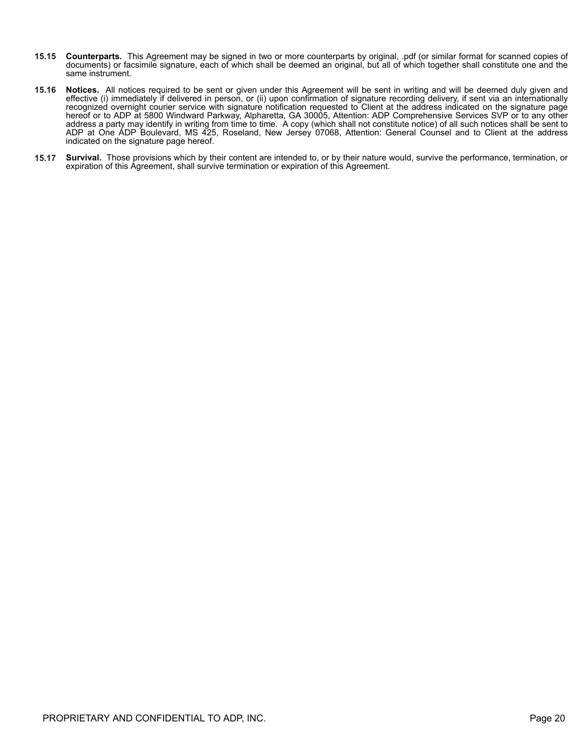- **15.15 Counterparts.** This Agreement may be signed in two or more counterparts by original, .pdf (or similar format for scanned copies of documents) or facsimile signature, each of which shall be deemed an original, but all of which together shall constitute one and the same instrument.
- **15.16 Notices.** All notices required to be sent or given under this Agreement will be sent in writing and will be deemed duly given and effective (i) immediately if delivered in person, or (ii) upon confirmation of signature recording delivery, if sent via an internationally recognized overnight courier service with signature notification requested to Client at the address indicated on the signature page hereof or to ADP at 5800 Windward Parkway, Alpharetta, GA 30005, Attention: ADP Comprehensive Services SVP or to any other address a party may identify in writing from time to time. A copy (which shall not constitute notice) of all such notices shall be sent to ADP at One ADP Boulevard, MS 425, Roseland, New Jersey 07068, Attention: General Counsel and to Client at the address indicated on the signature page hereof.
- **15.17 Survival.** Those provisions which by their content are intended to, or by their nature would, survive the performance, termination, or expiration of this Agreement, shall survive termination or expiration of this Agreement.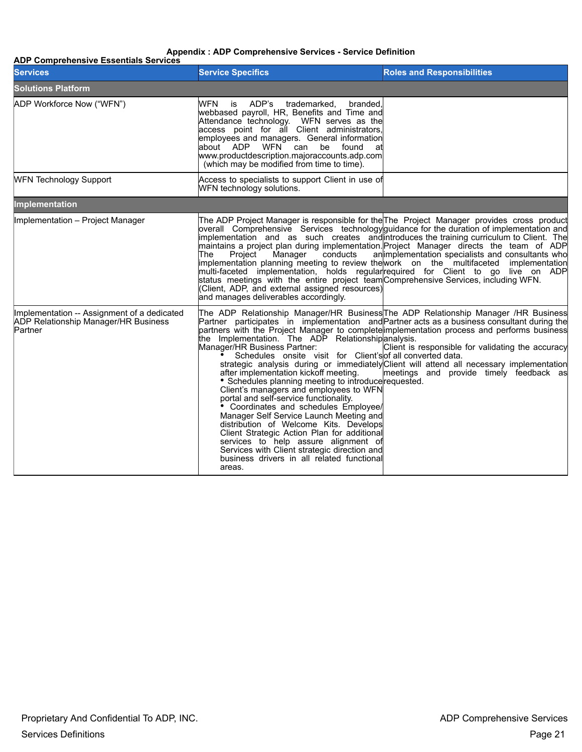### **Appendix : ADP Comprehensive Services - Service Definition**

| <b>ADP Comprehensive Essentials Services</b>                                                          |                                                                                                                                                                                                                                                                                                                                                                                                                                                                                                                                                                                                                                                                    |                                                                                                                                                                                                                                                                                                                                                                                                                                                                                                                                                                                                                  |
|-------------------------------------------------------------------------------------------------------|--------------------------------------------------------------------------------------------------------------------------------------------------------------------------------------------------------------------------------------------------------------------------------------------------------------------------------------------------------------------------------------------------------------------------------------------------------------------------------------------------------------------------------------------------------------------------------------------------------------------------------------------------------------------|------------------------------------------------------------------------------------------------------------------------------------------------------------------------------------------------------------------------------------------------------------------------------------------------------------------------------------------------------------------------------------------------------------------------------------------------------------------------------------------------------------------------------------------------------------------------------------------------------------------|
| <b>Services</b>                                                                                       | <b>Service Specifics</b>                                                                                                                                                                                                                                                                                                                                                                                                                                                                                                                                                                                                                                           | <b>Roles and Responsibilities</b>                                                                                                                                                                                                                                                                                                                                                                                                                                                                                                                                                                                |
| <b>Solutions Platform</b>                                                                             |                                                                                                                                                                                                                                                                                                                                                                                                                                                                                                                                                                                                                                                                    |                                                                                                                                                                                                                                                                                                                                                                                                                                                                                                                                                                                                                  |
| ADP Workforce Now ("WFN")                                                                             | <b>WFN</b><br>ADP's<br>trademarked,<br>branded,<br>is<br>webbased payroll, HR, Benefits and Time and<br>Attendance technology. WFN serves as the<br>access point for all Client administrators,<br>employees and managers. General information<br>about ADP WFN can<br>be<br>found<br>atl<br>www.productdescription.majoraccounts.adp.com<br>(which may be modified from time to time).                                                                                                                                                                                                                                                                            |                                                                                                                                                                                                                                                                                                                                                                                                                                                                                                                                                                                                                  |
| <b>WFN Technology Support</b>                                                                         | Access to specialists to support Client in use of<br>WFN technology solutions.                                                                                                                                                                                                                                                                                                                                                                                                                                                                                                                                                                                     |                                                                                                                                                                                                                                                                                                                                                                                                                                                                                                                                                                                                                  |
| Implementation                                                                                        |                                                                                                                                                                                                                                                                                                                                                                                                                                                                                                                                                                                                                                                                    |                                                                                                                                                                                                                                                                                                                                                                                                                                                                                                                                                                                                                  |
| Implementation - Project Manager                                                                      | Manager<br>lThe I<br>Project<br>conducts<br>status meetings with the entire project team Comprehensive Services, including WFN.<br>(Client, ADP, and external assigned resources)<br>and manages deliverables accordingly.                                                                                                                                                                                                                                                                                                                                                                                                                                         | The ADP Project Manager is responsible for the The Project Manager provides cross product<br>overall Comprehensive Services technology guidance for the duration of implementation and<br>implementation and as such creates and introduces the training curriculum to Client. The<br>maintains a project plan during implementation. Project Manager directs the team of ADP<br>an implementation specialists and consultants who<br>implementation planning meeting to review the work on the multifaceted implementation<br>multi-faceted implementation, holds regular required for Client to go live on ADP |
| Implementation -- Assignment of a dedicated<br><b>ADP Relationship Manager/HR Business</b><br>Partner | the Implementation. The ADP Relationship analysis.<br>Manager/HR Business Partner:<br>Schedules onsite visit for Client's of all converted data.<br>after implementation kickoff meeting.<br>• Schedules planning meeting to introduce requested.<br>Client's managers and employees to WFN<br>portal and self-service functionality.<br>• Coordinates and schedules Employee/<br>Manager Self Service Launch Meeting and<br>distribution of Welcome Kits. Develops<br>Client Strategic Action Plan for additional<br>services to help assure alignment of<br>Services with Client strategic direction and<br>business drivers in all related functional<br>areas. | The ADP Relationship Manager/HR Business The ADP Relationship Manager /HR Business<br>Partner participates in implementation and Partner acts as a business consultant during the<br>partners with the Project Manager to complete implementation process and performs business<br>Client is responsible for validating the accuracy<br>strategic analysis during or immediately Client will attend all necessary implementation<br>meetings and provide timely feedback as                                                                                                                                      |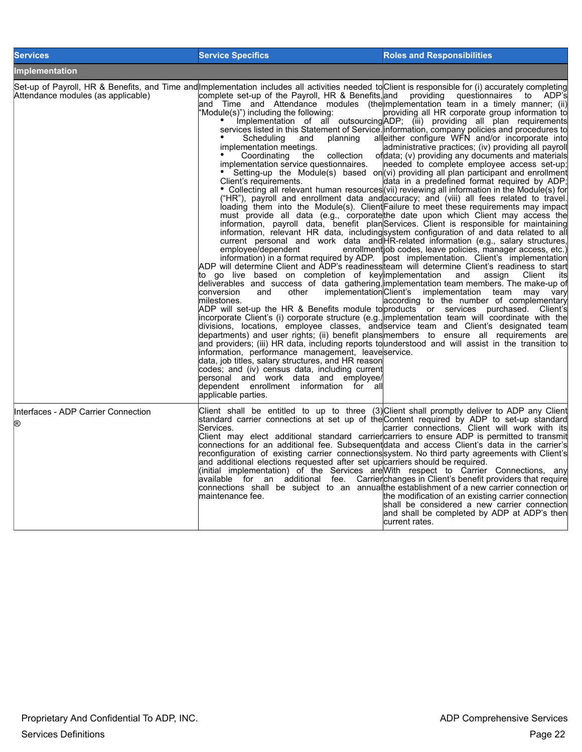| <b>Services</b>                          | <b>Service Specifics</b>                                                                                                                                                                                                                                                                                                                                                                                                                                                                                                                                                                                                                                                                                                                                                                                                                                                                                                     | <b>Roles and Responsibilities</b>                                                                                                                                                                                                                                                                                                                                                                                                                                                                                                                                                                                                                                                                                                                                                                                                                                                                                                                                                                                                                                                                                                                                                                                                                                                                                                                                                                                                                                                                                                                                                                                                                                                                                                                                                                                                                                                                                                                                                                                                                                                                                                                                                                                                                         |
|------------------------------------------|------------------------------------------------------------------------------------------------------------------------------------------------------------------------------------------------------------------------------------------------------------------------------------------------------------------------------------------------------------------------------------------------------------------------------------------------------------------------------------------------------------------------------------------------------------------------------------------------------------------------------------------------------------------------------------------------------------------------------------------------------------------------------------------------------------------------------------------------------------------------------------------------------------------------------|-----------------------------------------------------------------------------------------------------------------------------------------------------------------------------------------------------------------------------------------------------------------------------------------------------------------------------------------------------------------------------------------------------------------------------------------------------------------------------------------------------------------------------------------------------------------------------------------------------------------------------------------------------------------------------------------------------------------------------------------------------------------------------------------------------------------------------------------------------------------------------------------------------------------------------------------------------------------------------------------------------------------------------------------------------------------------------------------------------------------------------------------------------------------------------------------------------------------------------------------------------------------------------------------------------------------------------------------------------------------------------------------------------------------------------------------------------------------------------------------------------------------------------------------------------------------------------------------------------------------------------------------------------------------------------------------------------------------------------------------------------------------------------------------------------------------------------------------------------------------------------------------------------------------------------------------------------------------------------------------------------------------------------------------------------------------------------------------------------------------------------------------------------------------------------------------------------------------------------------------------------------|
| <b>Implementation</b>                    |                                                                                                                                                                                                                                                                                                                                                                                                                                                                                                                                                                                                                                                                                                                                                                                                                                                                                                                              |                                                                                                                                                                                                                                                                                                                                                                                                                                                                                                                                                                                                                                                                                                                                                                                                                                                                                                                                                                                                                                                                                                                                                                                                                                                                                                                                                                                                                                                                                                                                                                                                                                                                                                                                                                                                                                                                                                                                                                                                                                                                                                                                                                                                                                                           |
| Attendance modules (as applicable)       | Set-up of Payroll, HR & Benefits, and Time and Implementation includes all activities needed to Client is responsible for (i) accurately completing<br>complete set-up of the Payroll, HR & Benefits, and providing<br>and Time and Attendance modules (the implementation team in a timely manner; (ii)<br>'Module(s)") including the following:<br>Scheduling<br>planning<br>and<br>implementation meetings.<br>Coordinating<br>the<br>collection<br>implementation service questionnaires.<br>Client's requirements.<br>employee/dependent<br>to go live based on completion of keylimplementation<br>conversion<br>and<br>other<br>lmilestones.<br>information, performance management, leaveservice.<br>data, job titles, salary structures, and HR reason<br>codes; and (iv) census data, including current<br>personal and work data and employee/<br>dependent enrollment information for all<br>applicable parties. | questionnaires to ADP's<br>providing all HR corporate group information to<br>Implementation of all outsourcing ADP; (iii) providing all plan requirements<br>services listed in this Statement of Service linformation, company policies and procedures to<br>alleither configure WFN and/or incorporate into<br>administrative practices; (iv) providing all payroll<br>ofdata; (v) providing any documents and materials<br>needed to complete employee access set-up;<br>Setting-up the Module(s) based on (vi) providing all plan participant and enrollment<br>data in a predefined format required by ADP;<br>• Collecting all relevant human resources (vii) reviewing all information in the Module(s) for<br>("HR"), payroll and enrollment data and accuracy; and (viii) all fees related to travel.<br>loading them into the Module(s). Client Failure to meet these requirements may impact<br>must provide all data (e.g., corporate the date upon which Client may access the<br>information, payroll data, benefit planServices. Client is responsible for maintaining<br>information, relevant HR data, includingsystem configuration of and data related to all<br>current personal and work data and HR-related information (e.g., salary structures,<br>enrollment job codes, leave policies, manager access, etc.)<br>information) in a format required by ADP. post implementation. Client's implementation<br>ADP will determine Client and ADP's readinessiteam will determine Client's readiness to start<br>and<br>assign<br>Client<br>itsl<br>deliverables and success of data gathering, implementation team members. The make-up of<br>implementationClient's implementation team may vary<br>according to the number of complementary<br>ADP will set-up the HR & Benefits module to products or services purchased. Client's<br>incorporate Client's (i) corporate structure (e.g., implementation team will coordinate with the<br>divisions, locations, employee classes, and service team and Client's designated team<br>departments) and user rights; (ii) benefit plans members to ensure all requirements are<br>and providers; (iii) HR data, including reports to understood and will assist in the transition to |
| Interfaces - ADP Carrier Connection<br>இ | Services.<br>and additional elections requested after set upcarriers should be required.<br>lmaintenance fee.                                                                                                                                                                                                                                                                                                                                                                                                                                                                                                                                                                                                                                                                                                                                                                                                                | Client shall be entitled to up to three (3) Client shall promptly deliver to ADP any Client<br>standard carrier connections at set up of the Content required by ADP to set-up standard<br>carrier connections. Client will work with its<br>Client may elect additional standard carrier carriers to ensure ADP is permitted to transmit<br>connections for an additional fee. Subsequent data and access Client's data in the carrier's<br>reconfiguration of existing carrier connections system. No third party agreements with Client's<br>(initial implementation) of the Services are With respect to Carrier Connections, any<br>available for an additional fee. Carrierchanges in Client's benefit providers that require<br>connections shall be subject to an annualthe establishment of a new carrier connection or<br>the modification of an existing carrier connection<br>shall be considered a new carrier connection<br>land shall be completed by ADP at ADP's then<br>current rates.                                                                                                                                                                                                                                                                                                                                                                                                                                                                                                                                                                                                                                                                                                                                                                                                                                                                                                                                                                                                                                                                                                                                                                                                                                                  |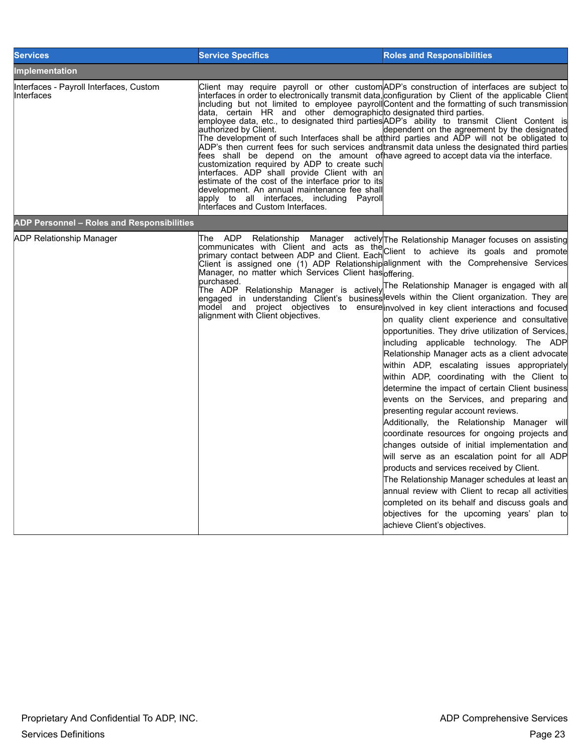| <b>Services</b>                                        | <b>Service Specifics</b>                                                                                                                                                                                                                                                                                                                                                                                                                                                   | <b>Roles and Responsibilities</b>                                                                                                                                                                                                                                                                                                                                                                                                                                                                                                                                                                                                                                                                                                                                                                                                                                                                                                                                                                                                                                                                                                                                                                                                                                                                                                                                                                                                                              |
|--------------------------------------------------------|----------------------------------------------------------------------------------------------------------------------------------------------------------------------------------------------------------------------------------------------------------------------------------------------------------------------------------------------------------------------------------------------------------------------------------------------------------------------------|----------------------------------------------------------------------------------------------------------------------------------------------------------------------------------------------------------------------------------------------------------------------------------------------------------------------------------------------------------------------------------------------------------------------------------------------------------------------------------------------------------------------------------------------------------------------------------------------------------------------------------------------------------------------------------------------------------------------------------------------------------------------------------------------------------------------------------------------------------------------------------------------------------------------------------------------------------------------------------------------------------------------------------------------------------------------------------------------------------------------------------------------------------------------------------------------------------------------------------------------------------------------------------------------------------------------------------------------------------------------------------------------------------------------------------------------------------------|
| <b>Implementation</b>                                  |                                                                                                                                                                                                                                                                                                                                                                                                                                                                            |                                                                                                                                                                                                                                                                                                                                                                                                                                                                                                                                                                                                                                                                                                                                                                                                                                                                                                                                                                                                                                                                                                                                                                                                                                                                                                                                                                                                                                                                |
| Interfaces - Payroll Interfaces, Custom<br>lInterfaces | data, certain HR and other demographicto designated third parties.<br>authorized by Client.<br>fees shall be depend on the amount ofhave-agreed-to-accept-data-via-the-interface.<br>customization required by ADP to create such<br>interfaces. ADP shall provide Client with an<br>estimate of the cost of the interface prior to its<br>development. An annual maintenance fee shall<br>apply to all interfaces, including Payroll<br>Interfaces and Custom Interfaces. | Client may require payroll or other custom ADP's construction of interfaces are subject to<br>interfaces in order to electronically transmit data, configuration by Client of the applicable Client<br>including but not limited to employee payrollContent and the formatting of such transmission<br>lemployee data, etc., to designated third parties ADP's ability to transmit Client Content is<br>dependent on the agreement by the designated<br>The development of such Interfaces shall be atthird parties and ADP will not be obligated to<br>ADP's then current fees for such services and transmit data unless the designated third parties                                                                                                                                                                                                                                                                                                                                                                                                                                                                                                                                                                                                                                                                                                                                                                                                        |
| ADP Personnel - Roles and Responsibilities             |                                                                                                                                                                                                                                                                                                                                                                                                                                                                            |                                                                                                                                                                                                                                                                                                                                                                                                                                                                                                                                                                                                                                                                                                                                                                                                                                                                                                                                                                                                                                                                                                                                                                                                                                                                                                                                                                                                                                                                |
| <b>ADP Relationship Manager</b>                        | Manager<br>The<br>ADP Relationship<br>Manager, no matter which Services Client has offering.<br>alignment with Client objectives.                                                                                                                                                                                                                                                                                                                                          | actively The Relationship Manager focuses on assisting<br>communicates with Client and acts as the Client to achieve its goals and promote<br>Client is assigned one (1) ADP Relationship alignment with the Comprehensive Services<br>The ADP Relationship Manager is actively <sup>The Relationship Manager is engaged with all</sup><br>engaged in understanding Client's businesslevels within the Client organization. They are<br>model and project objectives to ensure involved in key client interactions and focused<br>on quality client experience and consultative<br>opportunities. They drive utilization of Services,<br>including applicable technology. The ADP<br>Relationship Manager acts as a client advocate<br>within ADP, escalating issues appropriately<br>within ADP, coordinating with the Client to<br>determine the impact of certain Client business<br>events on the Services, and preparing and<br>presenting regular account reviews.<br>Additionally, the Relationship Manager will<br>coordinate resources for ongoing projects and<br>changes outside of initial implementation and<br>will serve as an escalation point for all ADP<br>products and services received by Client.<br>The Relationship Manager schedules at least an<br>annual review with Client to recap all activities<br>completed on its behalf and discuss goals and<br>objectives for the upcoming years' plan to<br>lachieve Client's objectives. |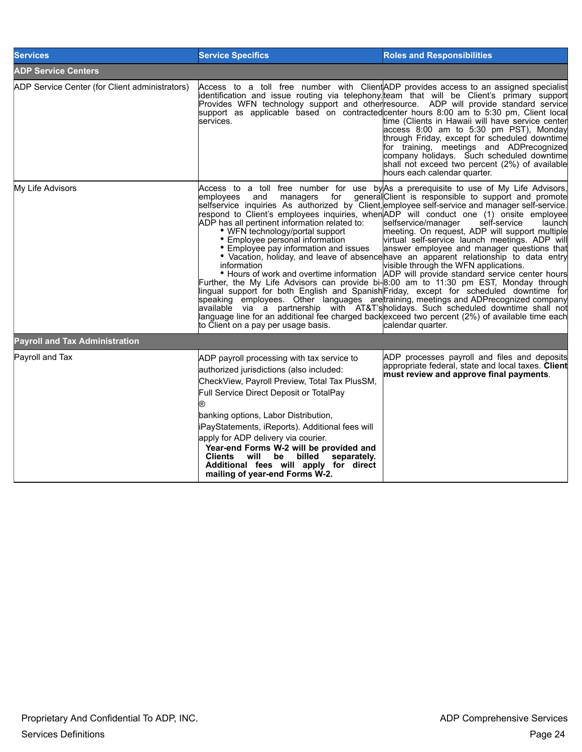| <b>Services</b>                                | <b>Service Specifics</b>                                                                                                                                                                                                                                                                                                                                                                                                                                                                       | <b>Roles and Responsibilities</b>                                                                                                                                                                                                                                                                                                                                                                                                                                                                                                                                                                                                                                                                                                                                                                                                                                                                                                                                                                                                                                                                                                                                                                                                                                |
|------------------------------------------------|------------------------------------------------------------------------------------------------------------------------------------------------------------------------------------------------------------------------------------------------------------------------------------------------------------------------------------------------------------------------------------------------------------------------------------------------------------------------------------------------|------------------------------------------------------------------------------------------------------------------------------------------------------------------------------------------------------------------------------------------------------------------------------------------------------------------------------------------------------------------------------------------------------------------------------------------------------------------------------------------------------------------------------------------------------------------------------------------------------------------------------------------------------------------------------------------------------------------------------------------------------------------------------------------------------------------------------------------------------------------------------------------------------------------------------------------------------------------------------------------------------------------------------------------------------------------------------------------------------------------------------------------------------------------------------------------------------------------------------------------------------------------|
| <b>ADP Service Centers</b>                     |                                                                                                                                                                                                                                                                                                                                                                                                                                                                                                |                                                                                                                                                                                                                                                                                                                                                                                                                                                                                                                                                                                                                                                                                                                                                                                                                                                                                                                                                                                                                                                                                                                                                                                                                                                                  |
| ADP Service Center (for Client administrators) | Access to a toll free number with Client ADP provides access to an assigned specialist<br>services.                                                                                                                                                                                                                                                                                                                                                                                            | identification and issue routing via telephony. team that will be Client's primary support<br>Provides WFN technology support and other resource. ADP will provide standard service<br>support as applicable based on contracted center hours 8:00 am to 5:30 pm, Client local<br>time (Clients in Hawaii will have service center<br>access 8:00 am to 5:30 pm PST), Monday<br>through Friday, except for scheduled downtime<br>for training, meetings and ADPrecognized<br>company holidays. Such scheduled downtime<br>shall not exceed two percent (2%) of available<br>hours each calendar quarter.                                                                                                                                                                                                                                                                                                                                                                                                                                                                                                                                                                                                                                                         |
| My Life Advisors                               | employees<br>managers<br>for<br>and<br>ADP has all pertinent information related to:<br>• WFN technology/portal support<br>• Employee personal information<br>• Employee pay information and issues<br>information<br>to Client on a pay per usage basis.                                                                                                                                                                                                                                      | Access to a toll free number for use by As a prerequisite to use of My Life Advisors,<br>general Client is responsible to support and promote<br>selfservice inquiries As authorized by Client, employee self-service and manager self-service.<br>respond to Client's employees inquiries, when ADP will conduct one (1) onsite employee<br>selfservice/manager<br>self-service<br>launchl<br>meeting. On request, ADP will support multiple<br>virtual self-service launch meetings. ADP will<br>answer employee and manager questions that<br>• Vacation, holiday, and leave of absence have an apparent relationship to data entry<br>visible through the WFN applications.<br>• Hours of work and overtime information ADP will provide standard service center hours<br>Further, the My Life Advisors can provide bi-8:00 am to 11:30 pm EST, Monday through<br>lingual support for both English and Spanish Friday, except for scheduled downtime for<br>speaking employees. Other languages aretraining, meetings and ADPrecognized company<br>available via a partnership with AT&T'sholidays. Such scheduled downtime shall not<br>language line for an additional fee charged backexceed two percent (2%) of available time each<br>calendar quarter. |
| <b>Payroll and Tax Administration</b>          |                                                                                                                                                                                                                                                                                                                                                                                                                                                                                                |                                                                                                                                                                                                                                                                                                                                                                                                                                                                                                                                                                                                                                                                                                                                                                                                                                                                                                                                                                                                                                                                                                                                                                                                                                                                  |
| Payroll and Tax                                | ADP payroll processing with tax service to<br>authorized jurisdictions (also included:<br>CheckView, Payroll Preview, Total Tax PlusSM,<br>Full Service Direct Deposit or TotalPay<br>banking options, Labor Distribution,<br>liPayStatements, iReports). Additional fees will<br>apply for ADP delivery via courier.<br>Year-end Forms W-2 will be provided and<br>will be billed<br><b>Clients</b><br>separately.<br>Additional fees will apply for direct<br>mailing of year-end Forms W-2. | ADP processes payroll and files and deposits<br>appropriate federal, state and local taxes. Client<br>must review and approve final payments.                                                                                                                                                                                                                                                                                                                                                                                                                                                                                                                                                                                                                                                                                                                                                                                                                                                                                                                                                                                                                                                                                                                    |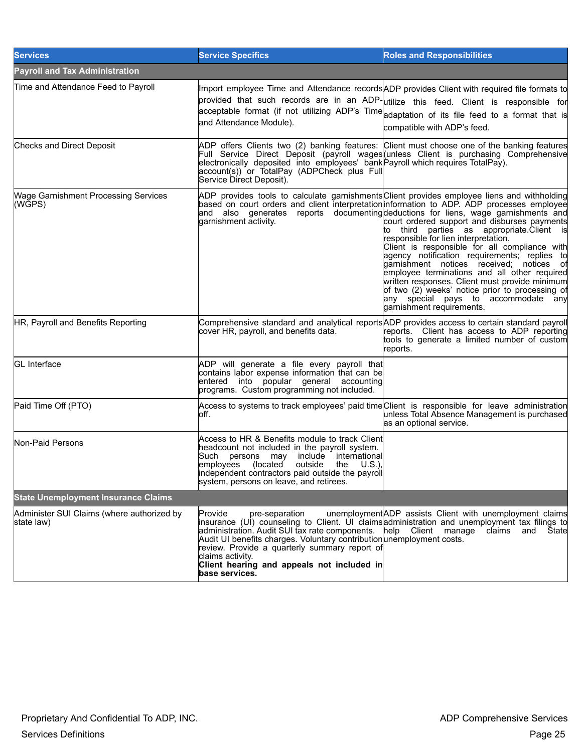| <b>Services</b>                                          | <b>Service Specifics</b>                                                                                                                                                                                                                                                                                           | <b>Roles and Responsibilities</b>                                                                                                                                                                                                                                                                                                                                                                                                                                                                                                                                                                                                                                                                                                                                                         |
|----------------------------------------------------------|--------------------------------------------------------------------------------------------------------------------------------------------------------------------------------------------------------------------------------------------------------------------------------------------------------------------|-------------------------------------------------------------------------------------------------------------------------------------------------------------------------------------------------------------------------------------------------------------------------------------------------------------------------------------------------------------------------------------------------------------------------------------------------------------------------------------------------------------------------------------------------------------------------------------------------------------------------------------------------------------------------------------------------------------------------------------------------------------------------------------------|
| <b>Payroll and Tax Administration</b>                    |                                                                                                                                                                                                                                                                                                                    |                                                                                                                                                                                                                                                                                                                                                                                                                                                                                                                                                                                                                                                                                                                                                                                           |
| Time and Attendance Feed to Payroll                      | and Attendance Module).                                                                                                                                                                                                                                                                                            | Import employee Time and Attendance records ADP provides Client with required file formats to<br>provided that such records are in an ADP-utilize this feed. Client is responsible for<br>acceptable format (if not utilizing ADP's Time adaptation of its file feed to a format that is<br>compatible with ADP's feed.                                                                                                                                                                                                                                                                                                                                                                                                                                                                   |
| Checks and Direct Deposit                                | account(s)) or TotalPay (ADPCheck plus Full<br>Service Direct Deposit).                                                                                                                                                                                                                                            | ADP offers Clients two (2) banking features: Client must choose one of the banking features<br>Full Service Direct Deposit (payroll wages (unless Client is purchasing Comprehensive electronically deposited into employees' bank Payroll which requires Total Pay).                                                                                                                                                                                                                                                                                                                                                                                                                                                                                                                     |
| <b>Wage Garnishment Processing Services</b><br>(WGPS)    | garnishment activity.                                                                                                                                                                                                                                                                                              | ADP provides tools to calculate garnishments Client provides employee liens and withholding<br>based on court orders and client interpretation information to ADP. ADP processes employee<br>and also generates reports documentingdeductions for liens, wage garnishments and<br>court ordered support and disburses payments<br>to third parties as appropriate.Client is<br>responsible for lien interpretation.<br>Client is responsible for all compliance with<br>agency notification requirements; replies to<br>garnishment notices received; notices of<br>employee terminations and all other required<br>written responses. Client must provide minimum<br>of two (2) weeks' notice prior to processing of<br>any special pays to accommodate any<br>garnishment requirements. |
| HR, Payroll and Benefits Reporting                       | cover HR, payroll, and benefits data.                                                                                                                                                                                                                                                                              | Comprehensive standard and analytical reports ADP provides access to certain standard payroll<br>reports. Client has access to ADP reporting<br>tools to generate a limited number of custom<br>reports.                                                                                                                                                                                                                                                                                                                                                                                                                                                                                                                                                                                  |
| <b>GL</b> Interface                                      | ADP will generate a file every payroll that<br>contains labor expense information that can be<br>entered into popular general accounting<br>programs. Custom programming not included.                                                                                                                             |                                                                                                                                                                                                                                                                                                                                                                                                                                                                                                                                                                                                                                                                                                                                                                                           |
| Paid Time Off (PTO)                                      | loff.                                                                                                                                                                                                                                                                                                              | Access to systems to track employees' paid time Client is responsible for leave administration<br>unless Total Absence Management is purchased<br>as an optional service.                                                                                                                                                                                                                                                                                                                                                                                                                                                                                                                                                                                                                 |
| Non-Paid Persons                                         | Access to HR & Benefits module to track Client<br>headcount not included in the payroll system.<br>persons may<br>include international<br>Such<br>employees (located<br>outside<br>the $U.S.$ ),<br>independent contractors paid outside the payroll<br>system, persons on leave, and retirees.                   |                                                                                                                                                                                                                                                                                                                                                                                                                                                                                                                                                                                                                                                                                                                                                                                           |
| <b>State Unemployment Insurance Claims</b>               |                                                                                                                                                                                                                                                                                                                    |                                                                                                                                                                                                                                                                                                                                                                                                                                                                                                                                                                                                                                                                                                                                                                                           |
| Administer SUI Claims (where authorized by<br>state law) | Provide<br>pre-separation<br>administration. Audit SUI tax rate components. help    Client    manage<br>Audit UI benefits charges. Voluntary contribution unemployment costs.<br>review. Provide a quarterly summary report of<br>claims activity.<br>Client hearing and appeals not included in<br>base services. | unemployment ADP assists Client with unemployment claims<br>insurance (UI) counseling to Client. UI claims administration and unemployment tax filings to<br>claims<br>and<br>State                                                                                                                                                                                                                                                                                                                                                                                                                                                                                                                                                                                                       |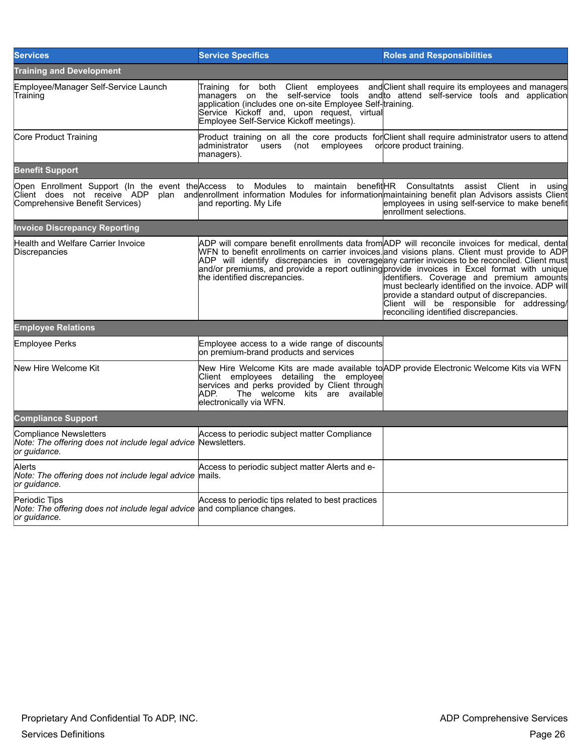| <b>Services</b>                                                                                           | <b>Service Specifics</b>                                                                                                                                                                                                                                                                                                                                                                                                           | <b>Roles and Responsibilities</b>                                                                                                                                                                                                     |
|-----------------------------------------------------------------------------------------------------------|------------------------------------------------------------------------------------------------------------------------------------------------------------------------------------------------------------------------------------------------------------------------------------------------------------------------------------------------------------------------------------------------------------------------------------|---------------------------------------------------------------------------------------------------------------------------------------------------------------------------------------------------------------------------------------|
| <b>Training and Development</b>                                                                           |                                                                                                                                                                                                                                                                                                                                                                                                                                    |                                                                                                                                                                                                                                       |
| Employee/Manager Self-Service Launch<br>Training                                                          | for both Client employees<br>Training<br>managers on the self-service tools<br>application (includes one on-site Employee Self-training.<br>Service Kickoff and, upon request, virtual<br>Employee Self-Service Kickoff meetings).                                                                                                                                                                                                 | and Client shall require its employees and managers<br>and to attend self-service tools and application                                                                                                                               |
| Core Product Training                                                                                     | Product training on all the core products for Client shall require administrator users to attend<br>(not employees<br>ladministrator users<br>managers).                                                                                                                                                                                                                                                                           | orcore product training.                                                                                                                                                                                                              |
| <b>Benefit Support</b>                                                                                    |                                                                                                                                                                                                                                                                                                                                                                                                                                    |                                                                                                                                                                                                                                       |
| Client does not receive ADP<br>Comprehensive Benefit Services)                                            | Open Enrollment Support (In the event the Access to Modules to maintain benefit HR Consultatnts assist Client in<br>land reporting. My Life                                                                                                                                                                                                                                                                                        | using<br>plan and enrollment information Modules for information maintaining benefit plan Advisors assists Client<br>employees in using self-service to make benefit<br>enrollment selections.                                        |
| <b>Invoice Discrepancy Reporting</b>                                                                      |                                                                                                                                                                                                                                                                                                                                                                                                                                    |                                                                                                                                                                                                                                       |
| Health and Welfare Carrier Invoice<br>Discrepancies                                                       | ADP will compare benefit enrollments data from ADP will reconcile invoices for medical, dental<br>WFN to benefit enrollments on carrier invoices. and visions plans. Client must provide to ADP<br>ADP will identify discrepancies in coverage any carrier invoices to be reconciled. Client must<br>and/or premiums, and provide a report outlining provide invoices in Excel format with unique<br>the identified discrepancies. | identifiers. Coverage and premium amounts<br>must beclearly identified on the invoice. ADP will<br>provide a standard output of discrepancies.<br>Client will be responsible for addressing/<br>reconciling identified discrepancies. |
| <b>Employee Relations</b>                                                                                 |                                                                                                                                                                                                                                                                                                                                                                                                                                    |                                                                                                                                                                                                                                       |
| Employee Perks                                                                                            | Employee access to a wide range of discounts<br>on premium-brand products and services                                                                                                                                                                                                                                                                                                                                             |                                                                                                                                                                                                                                       |
| New Hire Welcome Kit                                                                                      | New Hire Welcome Kits are made available to ADP provide Electronic Welcome Kits via WFN<br>Client employees detailing the employee<br>services and perks provided by Client through<br>The welcome kits are available<br>IADP.<br>electronically via WFN.                                                                                                                                                                          |                                                                                                                                                                                                                                       |
| <b>Compliance Support</b>                                                                                 |                                                                                                                                                                                                                                                                                                                                                                                                                                    |                                                                                                                                                                                                                                       |
| Compliance Newsletters<br>Note: The offering does not include legal advice<br>or guidance.                | Access to periodic subject matter Compliance<br>Newsletters.                                                                                                                                                                                                                                                                                                                                                                       |                                                                                                                                                                                                                                       |
| Alerts<br>Note: The offering does not include legal advice mails.<br>or guidance.                         | Access to periodic subject matter Alerts and e-                                                                                                                                                                                                                                                                                                                                                                                    |                                                                                                                                                                                                                                       |
| Periodic Tips<br>Note: The offering does not include legal advice and compliance changes.<br>or guidance. | Access to periodic tips related to best practices                                                                                                                                                                                                                                                                                                                                                                                  |                                                                                                                                                                                                                                       |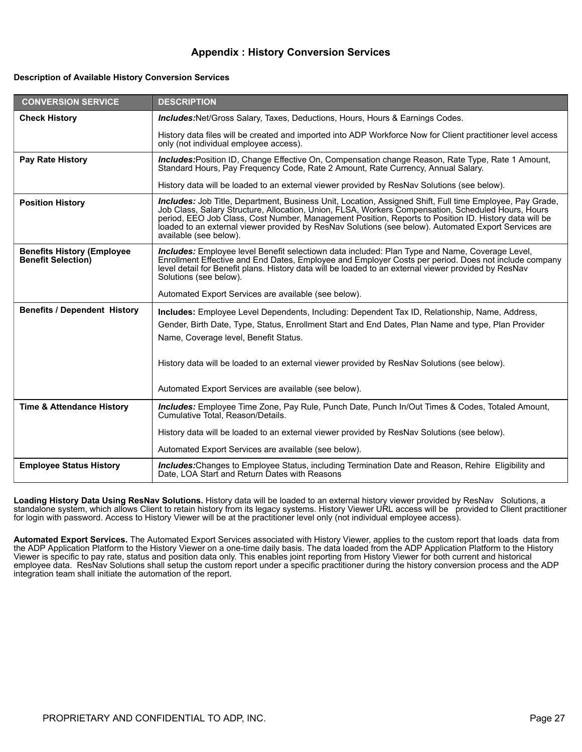#### **Appendix : History Conversion Services**

#### **Description of Available History Conversion Services**

| <b>CONVERSION SERVICE</b>                                      | <b>DESCRIPTION</b>                                                                                                                                                                                                                                                                                                                                                                                                                                               |
|----------------------------------------------------------------|------------------------------------------------------------------------------------------------------------------------------------------------------------------------------------------------------------------------------------------------------------------------------------------------------------------------------------------------------------------------------------------------------------------------------------------------------------------|
| <b>Check History</b>                                           | <b>Includes:</b> Net/Gross Salary, Taxes, Deductions, Hours, Hours & Earnings Codes.                                                                                                                                                                                                                                                                                                                                                                             |
|                                                                | History data files will be created and imported into ADP Workforce Now for Client practitioner level access<br>only (not individual employee access).                                                                                                                                                                                                                                                                                                            |
| <b>Pay Rate History</b>                                        | Includes:Position ID, Change Effective On, Compensation change Reason, Rate Type, Rate 1 Amount,<br>Standard Hours, Pay Frequency Code, Rate 2 Amount, Rate Currency, Annual Salary.                                                                                                                                                                                                                                                                             |
|                                                                | History data will be loaded to an external viewer provided by ResNav Solutions (see below).                                                                                                                                                                                                                                                                                                                                                                      |
| <b>Position History</b>                                        | <b>Includes:</b> Job Title, Department, Business Unit, Location, Assigned Shift, Full time Employee, Pay Grade,<br>Job Class, Salary Structure, Allocation, Union, FLSA, Workers Compensation, Scheduled Hours, Hours<br>period, EEO Job Class, Cost Number, Management Position, Reports to Position ID. History data will be<br>loaded to an external viewer provided by ResNav Solutions (see below). Automated Export Services are<br>available (see below). |
| <b>Benefits History (Employee</b><br><b>Benefit Selection)</b> | Includes: Employee level Benefit selectiown data included: Plan Type and Name, Coverage Level,<br>Enrollment Effective and End Dates, Employee and Employer Costs per period. Does not include company<br>level detail for Benefit plans. History data will be loaded to an external viewer provided by ResNav<br>Solutions (see below).                                                                                                                         |
|                                                                | Automated Export Services are available (see below).                                                                                                                                                                                                                                                                                                                                                                                                             |
| <b>Benefits / Dependent History</b>                            | Includes: Employee Level Dependents, Including: Dependent Tax ID, Relationship, Name, Address,<br>Gender, Birth Date, Type, Status, Enrollment Start and End Dates, Plan Name and type, Plan Provider<br>Name, Coverage level, Benefit Status.                                                                                                                                                                                                                   |
|                                                                | History data will be loaded to an external viewer provided by ResNav Solutions (see below).                                                                                                                                                                                                                                                                                                                                                                      |
|                                                                | Automated Export Services are available (see below).                                                                                                                                                                                                                                                                                                                                                                                                             |
| <b>Time &amp; Attendance History</b>                           | Includes: Employee Time Zone, Pay Rule, Punch Date, Punch In/Out Times & Codes, Totaled Amount,<br>Cumulative Total, Reason/Details.                                                                                                                                                                                                                                                                                                                             |
|                                                                | History data will be loaded to an external viewer provided by ResNav Solutions (see below).                                                                                                                                                                                                                                                                                                                                                                      |
|                                                                | Automated Export Services are available (see below).                                                                                                                                                                                                                                                                                                                                                                                                             |
| <b>Employee Status History</b>                                 | <b>Includes:</b> Changes to Employee Status, including Termination Date and Reason, Rehire Eligibility and<br>Date, LOA Start and Return Dates with Reasons                                                                                                                                                                                                                                                                                                      |

**Loading History Data Using ResNav Solutions.** History data will be loaded to an external history viewer provided by ResNav Solutions, a standalone system, which allows Client to retain history from its legacy systems. History Viewer URL access will be provided to Client practitioner for login with password. Access to History Viewer will be at the practitioner level only (not individual employee access).

**Automated Export Services.** The Automated Export Services associated with History Viewer, applies to the custom report that loads data from the ADP Application Platform to the History Viewer on a one-time daily basis. The data loaded from the ADP Application Platform to the History Viewer is specific to pay rate, status and position data only. This enables joint reporting from History Viewer for both current and historical employee data. ResNav Solutions shall setup the custom report under a specific practitioner during the history conversion process and the ADP integration team shall initiate the automation of the report.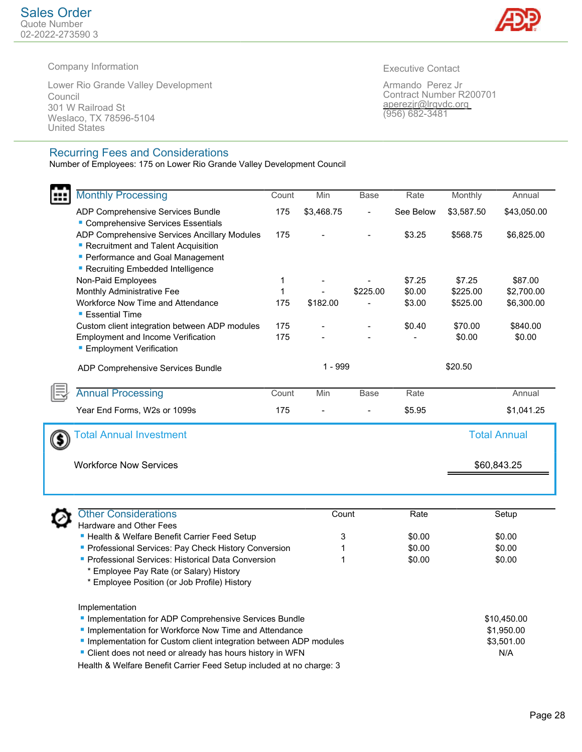

Company Information

Lower Rio Grande Valley Development Council 301 W Railroad St Weslaco, TX 78596-5104 United States

#### Recurring Fees and Considerations

Number of Employees: 175 on Lower Rio Grande Valley Development Council

Executive Contact

Armando Perez Jr Contract Number R200701 aperezjr@lrgvdc.org (956) 682-3481

|     | <b>Monthly Processing</b>                                                                                       | Count        | Min        | <b>Base</b>    | Rate             | Monthly    | Annual              |
|-----|-----------------------------------------------------------------------------------------------------------------|--------------|------------|----------------|------------------|------------|---------------------|
|     |                                                                                                                 |              |            |                |                  |            |                     |
|     | ADP Comprehensive Services Bundle                                                                               | 175          | \$3,468.75 | $\overline{a}$ | See Below        | \$3,587.50 | \$43,050.00         |
|     | Comprehensive Services Essentials<br>ADP Comprehensive Services Ancillary Modules                               | 175          |            |                | \$3.25           | \$568.75   | \$6,825.00          |
|     | Recruitment and Talent Acquisition                                                                              |              |            |                |                  |            |                     |
|     | <b>Performance and Goal Management</b>                                                                          |              |            |                |                  |            |                     |
|     | Recruiting Embedded Intelligence                                                                                |              |            |                |                  |            |                     |
|     | Non-Paid Employees                                                                                              | 1            |            |                | \$7.25           | \$7.25     | \$87.00             |
|     | Monthly Administrative Fee                                                                                      | $\mathbf{1}$ |            | \$225.00       | \$0.00           | \$225.00   | \$2,700.00          |
|     | Workforce Now Time and Attendance                                                                               | 175          | \$182.00   |                | \$3.00           | \$525.00   | \$6,300.00          |
|     | <b>Essential Time</b>                                                                                           |              |            |                |                  |            |                     |
|     | Custom client integration between ADP modules                                                                   | 175          |            |                | \$0.40           | \$70.00    | \$840.00            |
|     | <b>Employment and Income Verification</b>                                                                       | 175          |            |                |                  | \$0.00     | \$0.00              |
|     | <b>Employment Verification</b>                                                                                  |              |            |                |                  |            |                     |
|     |                                                                                                                 |              | 1 - 999    |                |                  | \$20.50    |                     |
|     | ADP Comprehensive Services Bundle                                                                               |              |            |                |                  |            |                     |
|     | <b>Annual Processing</b>                                                                                        | Count        | Min        | Base           | Rate             |            | Annual              |
|     | Year End Forms, W2s or 1099s                                                                                    | 175          |            |                | \$5.95           |            | \$1,041.25          |
|     |                                                                                                                 |              |            |                |                  |            |                     |
| (S) | <b>Total Annual Investment</b>                                                                                  |              |            |                |                  |            | <b>Total Annual</b> |
|     |                                                                                                                 |              |            |                |                  |            |                     |
|     | <b>Workforce Now Services</b>                                                                                   |              |            |                |                  |            | \$60,843.25         |
|     |                                                                                                                 |              |            |                |                  |            |                     |
|     |                                                                                                                 |              |            |                |                  |            |                     |
|     |                                                                                                                 |              |            |                |                  |            |                     |
|     | <b>Other Considerations</b>                                                                                     |              | Count      |                | Rate             |            | Setup               |
|     | Hardware and Other Fees                                                                                         |              |            |                |                  |            |                     |
|     | - Health & Welfare Benefit Carrier Feed Setup                                                                   |              | 3          |                | \$0.00<br>\$0.00 |            | \$0.00<br>\$0.00    |
|     | Professional Services: Pay Check History Conversion<br><b>Professional Services: Historical Data Conversion</b> |              | 1<br>1     |                | \$0.00           |            | \$0.00              |
|     | * Employee Pay Rate (or Salary) History                                                                         |              |            |                |                  |            |                     |
|     | * Employee Position (or Job Profile) History                                                                    |              |            |                |                  |            |                     |
|     |                                                                                                                 |              |            |                |                  |            |                     |
|     | Implementation                                                                                                  |              |            |                |                  |            |                     |
|     | Implementation for ADP Comprehensive Services Bundle                                                            |              |            |                |                  |            | \$10,450.00         |
|     | Implementation for Workforce Now Time and Attendance                                                            |              |            |                |                  |            | \$1,950.00          |
|     | Implementation for Custom client integration between ADP modules                                                |              |            |                |                  |            | \$3,501.00          |
|     | " Client does not need or already has hours history in WFN                                                      |              |            |                |                  |            | N/A                 |

Health & Welfare Benefit Carrier Feed Setup included at no charge: 3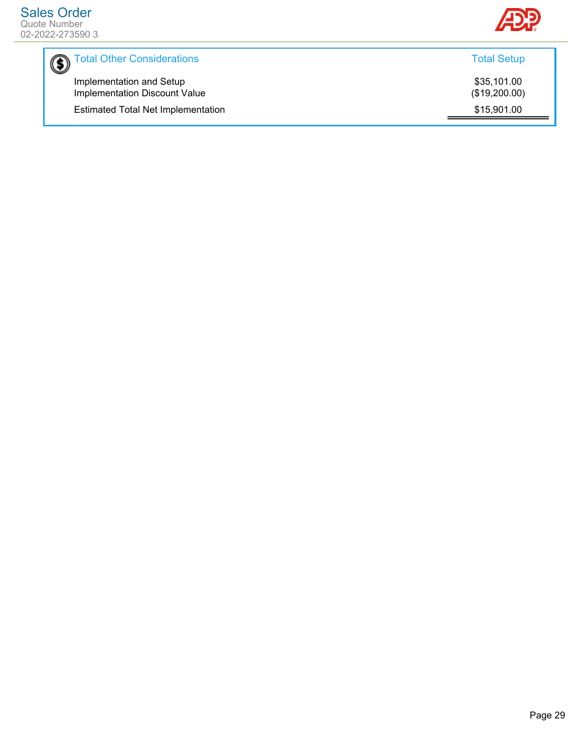

| Total Other Considerations                                       | <b>Total Setup</b>           |
|------------------------------------------------------------------|------------------------------|
| Implementation and Setup<br><b>Implementation Discount Value</b> | \$35,101.00<br>(\$19,200.00) |
| <b>Estimated Total Net Implementation</b>                        | \$15,901.00                  |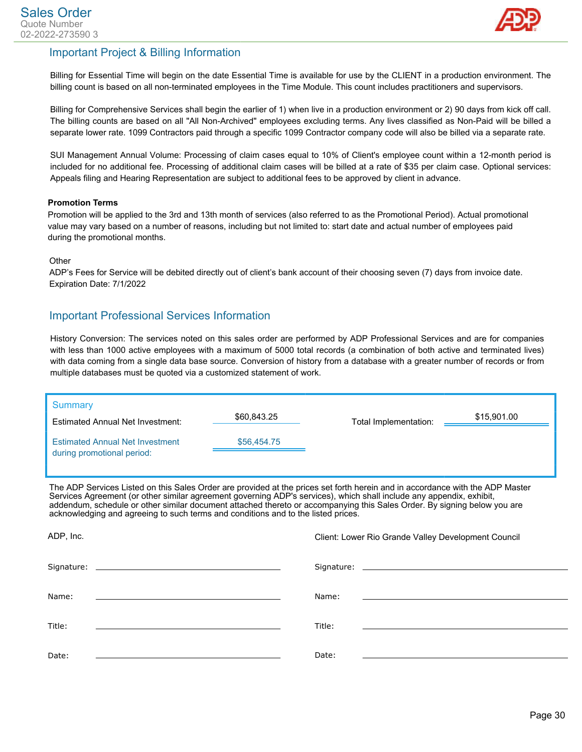

#### Important Project & Billing Information

Billing for Essential Time will begin on the date Essential Time is available for use by the CLIENT in a production environment. The billing count is based on all non-terminated employees in the Time Module. This count includes practitioners and supervisors.

Billing for Comprehensive Services shall begin the earlier of 1) when live in a production environment or 2) 90 days from kick off call. The billing counts are based on all "All Non-Archived" employees excluding terms. Any lives classified as Non-Paid will be billed a separate lower rate. 1099 Contractors paid through a specific 1099 Contractor company code will also be billed via a separate rate.

SUI Management Annual Volume: Processing of claim cases equal to 10% of Client's employee count within a 12-month period is included for no additional fee. Processing of additional claim cases will be billed at a rate of \$35 per claim case. Optional services: Appeals filing and Hearing Representation are subject to additional fees to be approved by client in advance.

#### **Promotion Terms**

Promotion will be applied to the 3rd and 13th month of services (also referred to as the Promotional Period). Actual promotional value may vary based on a number of reasons, including but not limited to: start date and actual number of employees paid during the promotional months.

#### **Other**

ADP's Fees for Service will be debited directly out of client's bank account of their choosing seven (7) days from invoice date. Expiration Date: 7/1/2022

#### Important Professional Services Information

History Conversion: The services noted on this sales order are performed by ADP Professional Services and are for companies with less than 1000 active employees with a maximum of 5000 total records (a combination of both active and terminated lives) with data coming from a single data base source. Conversion of history from a database with a greater number of records or from multiple databases must be quoted via a customized statement of work.

| Summary<br><b>Estimated Annual Net Investment:</b>                   | \$60,843.25 | Total Implementation: | \$15,901.00 |
|----------------------------------------------------------------------|-------------|-----------------------|-------------|
| <b>Estimated Annual Net Investment</b><br>during promotional period: | \$56,454,75 |                       |             |

The ADP Services Listed on this Sales Order are provided at the prices set forth herein and in accordance with the ADP Master Services Agreement (or other similar agreement governing ADP's services), which shall include any appendix, exhibit, addendum, schedule or other similar document attached thereto or accompanying this Sales Order. By signing below you are acknowledging and agreeing to such terms and conditions and to the listed prices.

| ADP, Inc.                                                                                                            | Client: Lower Rio Grande Valley Development Council                             |
|----------------------------------------------------------------------------------------------------------------------|---------------------------------------------------------------------------------|
|                                                                                                                      |                                                                                 |
| Name:                                                                                                                | Name:                                                                           |
| <u> 1980 - Jan Samuel Barbara, martin a shekara tsara tsara tsara tsara tsara tsara tsara tsara tsara tsara tsar</u> | <u> 1989 - Andrea Andrew Maria (h. 1989).</u><br>1905 - Andrew Maria (h. 1906). |
| Title:                                                                                                               | Title:                                                                          |
|                                                                                                                      |                                                                                 |
| Date:                                                                                                                | Date:                                                                           |
|                                                                                                                      |                                                                                 |